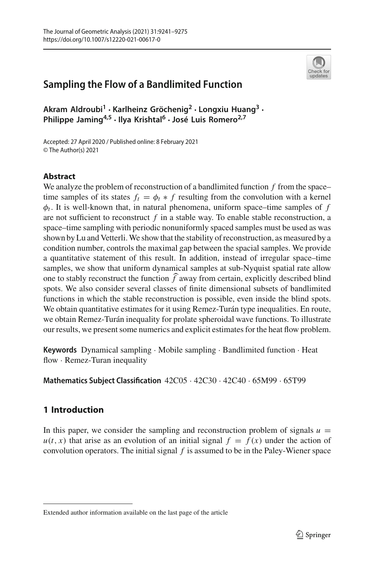

**Akram Aldroubi1 · Karlheinz Gröchenig2 · Longxiu Huang3 · Philippe Jaming4,5 · Ilya Krishtal<sup>6</sup> · José Luis Romero2,7**

Accepted: 27 April 2020 / Published online: 8 February 2021 © The Author(s) 2021

# **Abstract**

We analyze the problem of reconstruction of a bandlimited function *f* from the space– time samples of its states  $f_t = \phi_t * f$  resulting from the convolution with a kernel  $\phi_t$ . It is well-known that, in natural phenomena, uniform space–time samples of  $f$ are not sufficient to reconstruct *f* in a stable way. To enable stable reconstruction, a space–time sampling with periodic nonuniformly spaced samples must be used as was shown by Lu and Vetterli.We show that the stability of reconstruction, as measured by a condition number, controls the maximal gap between the spacial samples. We provide a quantitative statement of this result. In addition, instead of irregular space–time samples, we show that uniform dynamical samples at sub-Nyquist spatial rate allow condition number, controls the maximal<br>a quantitative statement of this result.<br>samples, we show that uniform dynamione to stably reconstruct the function  $\hat{f}$ one to stably reconstruct the function  $\hat{f}$  away from certain, explicitly described blind spots. We also consider several classes of finite dimensional subsets of bandlimited functions in which the stable reconstruction is possible, even inside the blind spots. We obtain quantitative estimates for it using Remez-Turán type inequalities. En route, we obtain Remez-Turán inequality for prolate spheroidal wave functions. To illustrate our results, we present some numerics and explicit estimates for the heat flow problem.

**Keywords** Dynamical sampling · Mobile sampling · Bandlimited function · Heat flow · Remez-Turan inequality

**Mathematics Subject Classification** 42C05 · 42C30 · 42C40 · 65M99 · 65T99

# **1 Introduction**

In this paper, we consider the sampling and reconstruction problem of signals  $u =$  $u(t, x)$  that arise as an evolution of an initial signal  $f = f(x)$  under the action of convolution operators. The initial signal *f* is assumed to be in the Paley-Wiener space

Extended author information available on the last page of the article

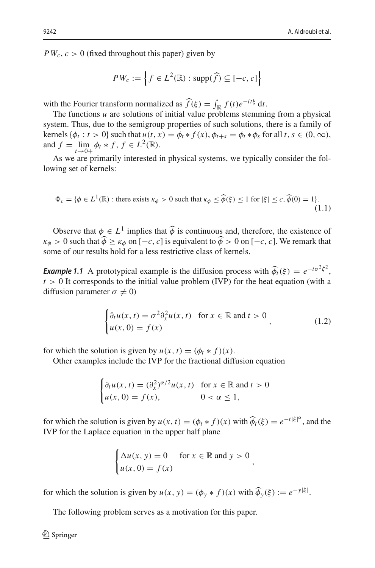<span id="page-1-2"></span>٦

 $PW_c, c > 0$  (fixed throughout this paper) given by

$$
PW_c, c > 0 \text{ (fixed throughout this paper) given by}
$$
\n
$$
PW_c := \left\{ f \in L^2(\mathbb{R}) : \text{supp}(\widehat{f}) \subseteq [-c, c] \right\}
$$
\nwith the Fourier transform normalized as  $\widehat{f}(\xi) = \int_{\mathbb{R}} f(t)e^{-it\xi} dt$ .

The functions *u* are solutions of initial value problems stemming from a physical system. Thus, due to the semigroup properties of such solutions, there is a family of kernels  $\{\phi_t : t > 0\}$  such that  $u(t, x) = \phi_t * f(x), \phi_{t+s} = \phi_t * \phi_s$  for all  $t, s \in (0, \infty)$ , and  $f = \lim_{t \to 0^+} \phi_t * f, f \in L^2(\mathbb{R})$ .

As we are primarily interested in physical systems, we typically consider the following set of kernels:

$$
\Phi_c = \{ \phi \in L^1(\mathbb{R}) : \text{there exists } \kappa_{\phi} > 0 \text{ such that } \kappa_{\phi} \le \widehat{\phi}(\xi) \le 1 \text{ for } |\xi| \le c, \widehat{\phi}(0) = 1 \}. \tag{1.1}
$$

Observe that  $\phi \in L^1$  implies that  $\hat{\phi}$  is continuous and, therefore, the existence of  $\kappa_{\phi} > 0$  such that  $\phi \ge \kappa_{\phi}$  on  $[-c, c]$  is equivalent to  $\phi > 0$  on  $[-c, c]$ . We remark that  $\phi \in L^1$  implies that  $\widehat{\phi}$  is continuous an  $\widehat{\phi} \ge \kappa_{\phi}$  on  $[-c, c]$  is equivalent to  $\widehat{\phi} >$ some of our results hold for a less restrictive class of kernels.

**Example 1.1** A prototypical example is the diffusion process with  $\hat{\phi}_t(\xi) = e^{-t\sigma^2\xi^2}$ , *t* > 0 It corresponds to the initial value problem (IVP) for the heat equation (with a diffusion parameter  $\sigma \neq 0$ )

<span id="page-1-1"></span>
$$
\begin{cases} \partial_t u(x,t) = \sigma^2 \partial_x^2 u(x,t) & \text{for } x \in \mathbb{R} \text{ and } t > 0 \\ u(x,0) = f(x) \end{cases}
$$
 (1.2)

for which the solution is given by  $u(x, t) = (\phi_t * f)(x)$ .

Other examples include the IVP for the fractional diffusion equation

$$
\begin{cases} \partial_t u(x, t) = (\partial_x^2)^{\alpha/2} u(x, t) & \text{for } x \in \mathbb{R} \text{ and } t > 0 \\ u(x, 0) = f(x), & 0 < \alpha \le 1, \end{cases}
$$

for which the solution is given by  $u(x, t) = (\phi_t * f)(x)$  with  $\widehat{\phi}_t(\xi) = e^{-t|\xi|^{\alpha}}$ , and the IVP for the Laplace equation in the upper half plane

$$
\begin{cases} \Delta u(x, y) = 0 & \text{for } x \in \mathbb{R} \text{ and } y > 0 \\ u(x, 0) = f(x) \end{cases}
$$

for which the solution is given by  $u(x, y) = (\phi_y * f)(x)$  with  $\widehat{\phi}_y(\xi) := e^{-y|\xi|}$ .

<span id="page-1-0"></span>The following problem serves as a motivation for this paper.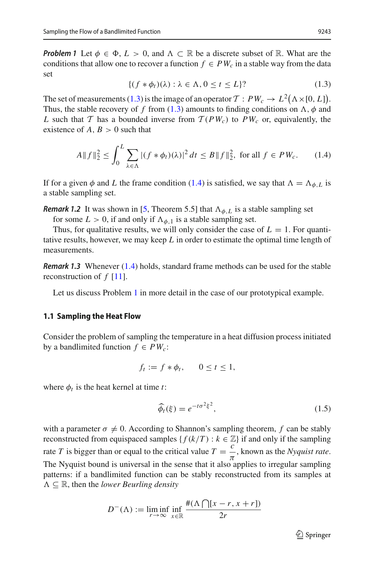*Problem 1* Let  $\phi \in \Phi$ ,  $L > 0$ , and  $\Lambda \subset \mathbb{R}$  be a discrete subset of  $\mathbb{R}$ . What are the conditions that allow one to recover a function  $f \in PW_c$  in a stable way from the data set

<span id="page-2-0"></span>
$$
\{(f * \phi_t)(\lambda) : \lambda \in \Lambda, 0 \le t \le L\} \tag{1.3}
$$

The set of measurements [\(1.3\)](#page-2-0) is the image of an operator  $\mathcal{T}: PW_c \to L^2(\Lambda \times [0, L])$ . Thus, the stable recovery of f from  $(1.3)$  amounts to finding conditions on  $\Lambda$ ,  $\phi$  and *L* such that *T* has a bounded inverse from  $T(PW_c)$  to  $PW_c$  or, equivalently, the existence of  $A, B > 0$  such that

<span id="page-2-1"></span>
$$
A\|f\|_2^2 \le \int_0^L \sum_{\lambda \in \Lambda} |(f * \phi_t)(\lambda)|^2 \, dt \le B\|f\|_2^2, \text{ for all } f \in PW_c. \tag{1.4}
$$

If for a given  $\phi$  and *L* the frame condition [\(1.4\)](#page-2-1) is satisfied, we say that  $\Lambda = \Lambda_{\phi, L}$  is a stable sampling set.

**Remark 1.2** It was shown in [\[5,](#page-33-0) Theorem 5.5] that  $\Lambda_{\phi,L}$  is a stable sampling set

for some  $L > 0$ , if and only if  $\Lambda_{\phi,1}$  is a stable sampling set.

Thus, for qualitative results, we will only consider the case of  $L = 1$ . For quantitative results, however, we may keep *L* in order to estimate the optimal time length of measurements.

*Remark 1.3* Whenever [\(1.4\)](#page-2-1) holds, standard frame methods can be used for the stable reconstruction of *f* [\[11\]](#page-33-1).

Let us discuss Problem [1](#page-1-0) in more detail in the case of our prototypical example.

### **1.1 Sampling the Heat Flow**

Consider the problem of sampling the temperature in a heat diffusion process initiated by a bandlimited function  $f \in PW_c$ :

$$
f_t := f * \phi_t, \qquad 0 \le t \le 1,
$$

where  $\phi_t$  is the heat kernel at time *t*:

$$
\widehat{\phi}_t(\xi) = e^{-t\sigma^2 \xi^2},\tag{1.5}
$$

with a parameter  $\sigma \neq 0$ . According to Shannon's sampling theorem, f can be stably reconstructed from equispaced samples { $f(k/T) : k \in \mathbb{Z}$ } if and only if the sampling rate *T* is bigger than or equal to the critical value  $T = \frac{c}{\pi}$ , known as the *Nyquist rate*. The Nyquist bound is universal in the sense that it also applies to irregular sampling patterns: if a bandlimited function can be stably reconstructed from its samples at  $\Lambda \subseteq \mathbb{R}$ , then the *lower Beurling density*<br> $D^{-}(A) := \liminf_{n \to \infty} \inf \frac{\#(\Lambda \cap [x - r, x + r])}{n}$  $\Lambda \subseteq \mathbb{R}$ , then the *lower Beurling density* 

$$
D^{-}(\Lambda) := \liminf_{r \to \infty} \inf_{x \in \mathbb{R}} \frac{\#(\Lambda \cap [x - r, x + r])}{2r}
$$

<span id="page-2-2"></span> $\mathcal{D}$  Springer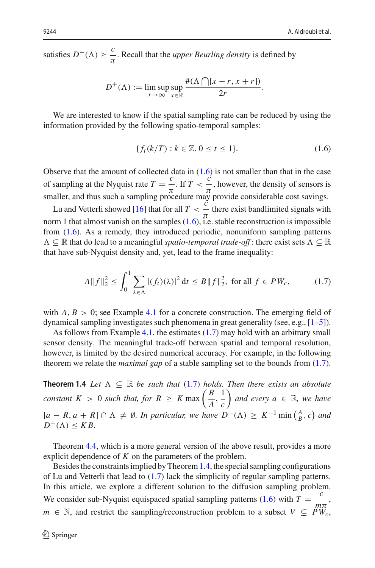satisfies  $D^{-}(\Lambda) \ge \frac{c}{\pi}$ . Recall that the *upper Beurling density* is defined by *Beurling density* is<br> $\Lambda \bigcap [x - r, x + r]$ 

$$
D^{+}(\Lambda) := \limsup_{r \to \infty} \sup_{x \in \mathbb{R}} \frac{\#(\Lambda \cap [x - r, x + r])}{2r}.
$$

We are interested to know if the spatial sampling rate can be reduced by using the information provided by the following spatio-temporal samples:

<span id="page-3-0"></span>
$$
\{f_t(k/T) : k \in \mathbb{Z}, 0 \le t \le 1\}.
$$
 (1.6)

Observe that the amount of collected data in  $(1.6)$  is not smaller than that in the case of sampling at the Nyquist rate  $T = \frac{c}{\pi}$ . If  $T < \frac{c}{\pi}$ , however, the density of sensors is smaller, and thus such a sampling procedure may provide considerable cost savings.

Lu and Vetterli showed [\[16](#page-33-2)] that for all  $T < \frac{\vec{c}}{c}$  there exist bandlimited signals with  $\frac{\pi}{\pi}$  and strated are not projection in  $\frac{\pi}{\pi}$  and construction is impossible reconstruction is impossible from  $(1.6)$ . As a remedy, they introduced periodic, nonuniform sampling patterns  $\Lambda \subseteq \mathbb{R}$  that do lead to a meaningful *spatio-temporal trade-off* : there exist sets  $\Lambda \subseteq \mathbb{R}$ that have sub-Nyquist density and, yet, lead to the frame inequality:

<span id="page-3-1"></span>
$$
A \|f\|_2^2 \le \int_0^1 \sum_{\lambda \in \Lambda} |(f_t)(\lambda)|^2 dt \le B \|f\|_2^2, \text{ for all } f \in PW_c,
$$
 (1.7)

with  $A, B > 0$ ; see Example [4.1](#page-29-0) for a concrete construction. The emerging field of dynamical sampling investigates such phenomena in great generality (see, e.g.,  $[1-5]$  $[1-5]$ ).

As follows from Example [4.1,](#page-29-0) the estimates [\(1.7\)](#page-3-1) may hold with an arbitrary small sensor density. The meaningful trade-off between spatial and temporal resolution, however, is limited by the desired numerical accuracy. For example, in the following theorem we relate the *maximal gap* of a stable sampling set to the bounds from  $(1.7)$ .

<span id="page-3-2"></span>**Theorem 1.4** *Let*  $\Lambda \subseteq \mathbb{R}$  *be such that* [\(1.7\)](#page-3-1) *holds. Then there exists an absolute* **constant** *K* > 0 *such that, for R*  $\geq$  *K* max  $\left(\frac{B}{A}, \frac{1}{C}\right)$ *c and every a* <sup>∈</sup> <sup>R</sup>*, we have*  $[a - R, a + R] ∩ ∧ ≠ ∅$ *. In particular, we have*  $D^{-}(Λ) ≥ K^{-1}$  min  $\left(\frac{A}{B}, c\right)$  *and a there exists an*<br>*d every a*  $\in \mathbb{R}$ ,<br> $\Rightarrow$   $K^{-1} \min \left( \frac{A}{B} \right)$  $D^+(\Lambda) \leq KB$ .

Theorem [4.4,](#page-31-0) which is a more general version of the above result, provides a more explicit dependence of *K* on the parameters of the problem.

Besides the constraints implied by Theorem[1.4,](#page-3-2) the special sampling configurations of Lu and Vetterli that lead to [\(1.7\)](#page-3-1) lack the simplicity of regular sampling patterns. In this article, we explore a different solution to the diffusion sampling problem. We consider sub-Nyquist equispaced spatial sampling patterns [\(1.6\)](#page-3-0) with  $T = \frac{c}{m\pi}$ , *m* ∈ N, and restrict the sampling/reconstruction problem to a subset  $V \subseteq PW_c$ ,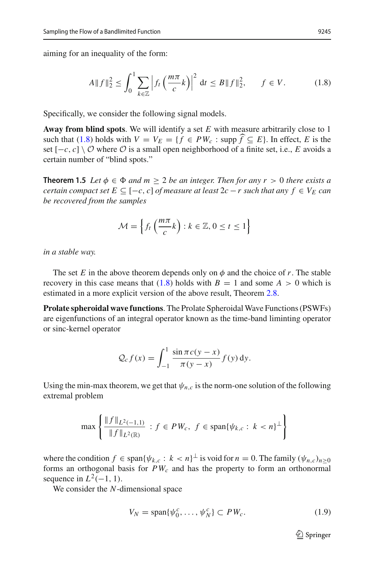aiming for an inequality of the form:

<span id="page-4-0"></span>
$$
A \|f\|_2^2 \le \int_0^1 \sum_{k \in \mathbb{Z}} \left| f_t \left( \frac{m\pi}{c} k \right) \right|^2 \, \mathrm{d}t \le B \|f\|_2^2, \qquad f \in V. \tag{1.8}
$$

Specifically, we consider the following signal models.

**Away from blind spots**. We will identify a set *E* with measure arbitrarily close to 1 Specifically, we consider the following signal models.<br> **Away from blind spots**. We will identify a set *E* with measure arbitrarily close to 1 such that [\(1.8\)](#page-4-0) holds with  $V = V_E = \{ f \in PW_c : \text{supp} \hat{f} \subseteq E \}$ . In effect, *E* is set  $[-c, c] \setminus \mathcal{O}$  where  $\mathcal{O}$  is a small open neighborhood of a finite set, i.e., *E* avoids a certain number of "blind spots."

<span id="page-4-2"></span>**Theorem 1.5** *Let*  $\phi \in \Phi$  *and*  $m > 2$  *be an integer. Then for any r* > 0 *there exists a certain compact set E* ⊆ [−*c*, *c*] *of measure at least* 2*c* − *r such that any*  $f \in V_E$  *can be recovered from the samples*

$$
\mathcal{M} = \left\{ f_t \left( \frac{m\pi}{c} k \right) : k \in \mathbb{Z}, 0 \le t \le 1 \right\}
$$

*in a stable way.*

The set *E* in the above theorem depends only on  $\phi$  and the choice of *r*. The stable recovery in this case means that  $(1.8)$  holds with  $B = 1$  and some  $A > 0$  which is estimated in a more explicit version of the above result, Theorem [2.8.](#page-17-0)

**Prolate spheroidal wave functions**. The Prolate Spheroidal Wave Functions (PSWFs) are eigenfunctions of an integral operator known as the time-band liminting operator or sinc-kernel operator

$$
\mathcal{Q}_c f(x) = \int_{-1}^1 \frac{\sin \pi c (y - x)}{\pi (y - x)} f(y) \, \mathrm{d}y.
$$

Using the min-max theorem, we get that  $\psi_{n,c}$  is the norm-one solution of the following extremal problem nin-ma<br>roblem<br>max {

$$
\max \left\{ \frac{\|f\|_{L^2(-1,1)}}{\|f\|_{L^2(\mathbb{R})}} : f \in PW_c, \ f \in \text{span}\{\psi_{k,c} : k < n\}^\perp \right\}
$$

where the condition  $f \in \text{span}\{\psi_{k,c} : k < n\}^{\perp}$  is void for  $n = 0$ . The family  $(\psi_{n,c})_{n \geq 0}$ forms an orthogonal basis for  $PW_c$  and has the property to form an orthonormal sequence in  $L^2(-1, 1)$ .

We consider the *N*-dimensional space

<span id="page-4-1"></span>
$$
V_N = \text{span}\{\psi_0^c, \dots, \psi_N^c\} \subset PW_c. \tag{1.9}
$$

 $\mathcal{D}$  Springer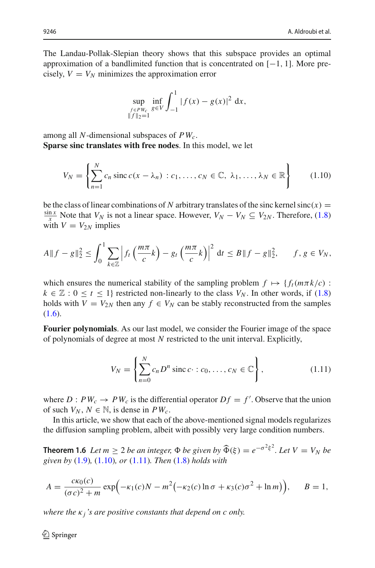The Landau-Pollak-Slepian theory shows that this subspace provides an optimal approximation of a bandlimited function that is concentrated on [−1, 1]. More pre cisely,  $V = V_N$  minimizes the approximation error

$$
\sup_{\substack{f \in PW_c \\ \|f\|_2 = 1}} \inf_{g \in V} \int_{-1}^1 |f(x) - g(x)|^2 dx,
$$

among all *N*-dimensional subspaces of *PWc*. **Sparse sinc translates with free nodes**. In this model, we let

<span id="page-5-0"></span>
$$
V_N = \left\{ \sum_{n=1}^N c_n \operatorname{sinc} c(x - \lambda_n) : c_1, \dots, c_N \in \mathbb{C}, \lambda_1, \dots, \lambda_N \in \mathbb{R} \right\}
$$
 (1.10)

be the class of linear combinations of *N* arbitrary translates of the sinc kernel sinc(*x*) = *x* Note that *V<sub>N</sub>* is not a linear space. However,  $V_N - V_N \subseteq V_{2N}$ . Therefore, [\(1.8\)](#page-4-0) with  $V = V_{2N}$  implies

$$
A\|f-g\|_2^2 \le \int_0^1 \sum_{k\in\mathbb{Z}} \left|f_t\left(\frac{m\pi}{c}k\right) - g_t\left(\frac{m\pi}{c}k\right)\right|^2 \, \mathrm{d}t \le B\|f-g\|_2^2, \qquad f, g \in V_N,
$$

which ensures the numerical stability of the sampling problem  $f \mapsto \{f_t(m\pi k/c):$  $k \in \mathbb{Z} : 0 \le t \le 1$  restricted non-linearly to the class  $V_N$ . In other words, if [\(1.8\)](#page-4-0) holds with  $V = V_{2N}$  then any  $f \in V_N$  can be stably reconstructed from the samples [\(1.6\)](#page-3-0).

**Fourier polynomials**. As our last model, we consider the Fourier image of the space of polynomials of degree at most *N* restricted to the unit interval. Explicitly,

<span id="page-5-1"></span>
$$
V_N = \left\{ \sum_{n=0}^N c_n D^n \operatorname{sinc} c \cdot : c_0, \dots, c_N \in \mathbb{C} \right\},\tag{1.11}
$$

where  $D : PW_c \to PW_c$  is the differential operator  $Df = f'$ . Observe that the union of such  $V_N$ ,  $N \in \mathbb{N}$ , is dense in  $PW_c$ .

In this article, we show that each of the above-mentioned signal models regularizes the diffusion sampling problem, albeit with possibly very large condition numbers.

*given by* [\(1.9\)](#page-4-1)*,* [\(1.10\)](#page-5-0)*, or* [\(1.11\)](#page-5-1)*. Then* [\(1.8\)](#page-4-0) *holds with*

<span id="page-5-2"></span>In this article, we show that each of the above-mentioned signal models regularizes  
the diffusion sampling problem, albeit with possibly very large condition numbers.  
**Theorem 1.6** Let 
$$
m \ge 2
$$
 be an integer,  $\Phi$  be given by  $\widehat{\Phi}(\xi) = e^{-\sigma^2 \xi^2}$ . Let  $V = V_N$  be  
given by (1.9), (1.10), or (1.11). Then (1.8) holds with  

$$
A = \frac{c\kappa_0(c)}{(\sigma c)^2 + m} \exp(-\kappa_1(c)N - m^2(-\kappa_2(c) \ln \sigma + \kappa_3(c)\sigma^2 + \ln m)), \qquad B = 1,
$$

*where the* κ<sub>*i*</sub>'s are positive constants that depend on c only.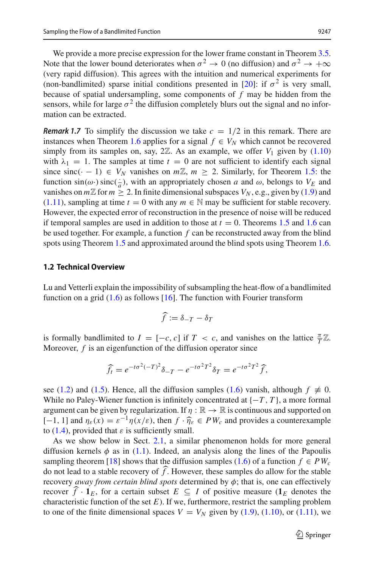We provide a more precise expression for the lower frame constant in Theorem [3.5.](#page-27-0) Note that the lower bound deteriorates when  $\sigma^2 \to 0$  (no diffusion) and  $\sigma^2 \to +\infty$ (very rapid diffusion). This agrees with the intuition and numerical experiments for (non-bandlimited) sparse initial conditions presented in [\[20](#page-33-4)]: if  $\sigma^2$  is very small, because of spatial undersampling, some components of *f* may be hidden from the sensors, while for large  $\sigma^2$  the diffusion completely blurs out the signal and no information can be extracted.

*Remark 1.7* To simplify the discussion we take  $c = 1/2$  in this remark. There are instances when Theorem [1.6](#page-5-2) applies for a signal  $f \in V_N$  which cannot be recovered simply from its samples on, say,  $2\mathbb{Z}$ . As an example, we offer  $V_1$  given by  $(1.10)$ with  $\lambda_1 = 1$ . The samples at time  $t = 0$  are not sufficient to identify each signal since sinc( $\cdot$  - 1)  $\in V_N$  vanishes on  $m\mathbb{Z}$ ,  $m \geq 2$ . Similarly, for Theorem [1.5:](#page-4-2) the function  $sin(\omega)$   $sinc(\frac{1}{a})$ , with an appropriately chosen *a* and  $\omega$ , belongs to  $V_E$  and vanishes on  $m\mathbb{Z}$  for  $m \geq 2$ . In finite dimensional subspaces  $V_N$ , e.g., given by [\(1.9\)](#page-4-1) and [\(1.11\)](#page-5-1), sampling at time  $t = 0$  with any  $m \in \mathbb{N}$  may be sufficient for stable recovery. However, the expected error of reconstruction in the presence of noise will be reduced if temporal samples are used in addition to those at  $t = 0$ . Theorems [1.5](#page-4-2) and [1.6](#page-5-2) can be used together. For example, a function *f* can be reconstructed away from the blind spots using Theorem [1.5](#page-4-2) and approximated around the blind spots using Theorem [1.6.](#page-5-2)

#### <span id="page-6-0"></span>**1.2 Technical Overview**

Lu and Vetterli explain the impossibility of subsampling the heat-flow of a bandlimited function on a grid [\(1.6\)](#page-3-0) as follows [\[16](#page-33-2)]. The function with Fourier transform

$$
\widehat{f} := \delta_{-T} - \delta_T
$$

is formally bandlimited to  $I = [-c, c]$  if  $T < c$ , and vanishes on the lattice  $\frac{\pi}{T}\mathbb{Z}$ . Moreover, *f* is an eigenfunction of the diffusion operator since  $\delta_T = e^{-t\sigma^2 T^2} \hat{f}$ 

$$
\widehat{f}_t = e^{-t\sigma^2(-T)^2} \delta_{-T} - e^{-t\sigma^2 T^2} \delta_T = e^{-t\sigma^2 T^2} \widehat{f},
$$

see [\(1.2\)](#page-1-1) and [\(1.5\)](#page-2-2). Hence, all the diffusion samples [\(1.6\)](#page-3-0) vanish, although  $f \neq 0$ . While no Paley-Wiener function is infinitely concentrated at  $\{-T, T\}$ , a more formal argument can be given by regularization. If  $\eta : \mathbb{R} \to \mathbb{R}$  is continuous and supported on While no Paley-Wiener function is infinitely concentrated at  $\{-T, T\}$ , a more formal argument can be given by regularization. If  $\eta : \mathbb{R} \to \mathbb{R}$  is continuous and supported on  $[-1, 1]$  and  $\eta_{\varepsilon}(x) = \varepsilon^{-1} \eta(x/\varepsilon)$ to [\(1.4\)](#page-2-1), provided that  $\varepsilon$  is sufficiently small.

As we show below in Sect. [2.1,](#page-7-0) a similar phenomenon holds for more general diffusion kernels  $\phi$  as in [\(1.1\)](#page-1-2). Indeed, an analysis along the lines of the Papoulis sampling theorem [\[18\]](#page-33-5) shows that the diffusion samples [\(1.6\)](#page-3-0) of a function  $f \in PW_c$ As we show below in Sect. 2.1,<br>diffusion kernels  $\phi$  as in (1.1). Inde<br>sampling theorem [18] shows that the<br>do not lead to a stable recovery of  $\hat{f}$ . do not lead to a stable recovery of  $\widehat{f}$ . However, these samples do allow for the stable recovery *away from certain blind spots* determined by φ; that is, one can effectively sampling theorem [18] shows that the diffusion samples (1.6) of a function *f* ∈ *PW<sub>c</sub>* do not lead to a stable recovery of  $\hat{f}$ . However, these samples do allow for the stable recovery *away from certain blind spots* characteristic function of the set *E*). If we, furthermore, restrict the sampling problem to one of the finite dimensional spaces  $V = V_N$  given by [\(1.9\)](#page-4-1), [\(1.10\)](#page-5-0), or [\(1.11\)](#page-5-1), we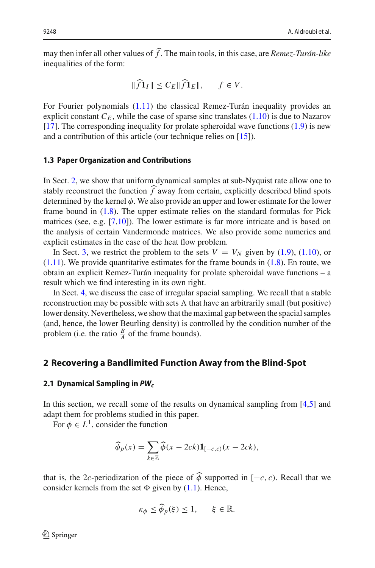9248<br> **A.** Aldroubi et al.<br>
19248<br> **independent on the main tools, in this case, are** *Remez-Turán-like***<br>
inequalities of the form:<br>**  $\|\widehat{f}\mathbf{1}_I\| \le C_E \|\widehat{f}\mathbf{1}_E\|$ **,**  $f \in V$ **.** inequalities of the form:

$$
\|\widehat{f}\mathbf{1}_I\| \le C_E \|\widehat{f}\mathbf{1}_E\|, \qquad f \in V.
$$

For Fourier polynomials [\(1.11\)](#page-5-1) the classical Remez-Turán inequality provides an explicit constant  $C_F$ , while the case of sparse sinc translates  $(1.10)$  is due to Nazarov [\[17](#page-33-6)]. The corresponding inequality for prolate spheroidal wave functions [\(1.9\)](#page-4-1) is new and a contribution of this article (our technique relies on [\[15\]](#page-33-7)).

#### **1.3 Paper Organization and Contributions**

In Sect. [2,](#page-7-1) we show that uniform dynamical samples at sub-Nyquist rate allow one to **1.3 Paper Organization and Contributions**<br>In Sect. 2, we show that uniform dynamical samples at sub-Nyquist rate allow one to<br>stably reconstruct the function  $\hat{f}$  away from certain, explicitly described blind spots determined by the kernel  $\phi$ . We also provide an upper and lower estimate for the lower frame bound in [\(1.8\)](#page-4-0). The upper estimate relies on the standard formulas for Pick matrices (see, e.g. [\[7](#page-33-8)[,10\]](#page-33-9)). The lower estimate is far more intricate and is based on the analysis of certain Vandermonde matrices. We also provide some numerics and explicit estimates in the case of the heat flow problem.

In Sect. [3,](#page-20-0) we restrict the problem to the sets  $V = V_N$  given by [\(1.9\)](#page-4-1), [\(1.10\)](#page-5-0), or  $(1.11)$ . We provide quantitative estimates for the frame bounds in  $(1.8)$ . En route, we obtain an explicit Remez-Turán inequality for prolate spheroidal wave functions – a result which we find interesting in its own right.

In Sect. [4,](#page-29-1) we discuss the case of irregular spacial sampling. We recall that a stable reconstruction may be possible with sets  $\Lambda$  that have an arbitrarily small (but positive) lower density. Nevertheless, we show that the maximal gap between the spacial samples (and, hence, the lower Beurling density) is controlled by the condition number of the problem (i.e. the ratio  $\frac{B}{A}$  of the frame bounds).

### <span id="page-7-1"></span>**2 Recovering a Bandlimited Function Away from the Blind-Spot**

#### <span id="page-7-0"></span>**2.1 Dynamical Sampling in** *PWc*

In this section, we recall some of the results on dynamical sampling from [\[4](#page-33-10)[,5](#page-33-0)] and adapt them for problems studied in this paper. -

For  $\phi \in L^1$ , consider the function

ems studied in this paper.  
der the function  

$$
\widehat{\phi}_p(x) = \sum_{k \in \mathbb{Z}} \widehat{\phi}(x - 2ck) \mathbf{1}_{[-c,c)}(x - 2ck),
$$

that is, the 2*c*-periodization of the piece of  $\phi$  supported in [−*c*, *c*). Recall that we consider kernels from the set  $\Phi$  given by [\(1.1\)](#page-1-2). Hence,

$$
\kappa_{\phi} \leq \widehat{\phi}_p(\xi) \leq 1, \quad \xi \in \mathbb{R}.
$$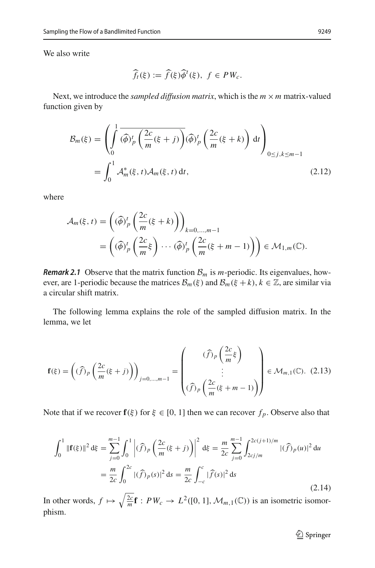We also write

$$
\widehat{f}_t(\xi) := \widehat{f}(\xi)\widehat{\phi}^t(\xi), \ f \in PW_c.
$$

Next, we introduce the *sampled diffusion matrix*, which is the  $m \times m$  matrix-valued function given by

<span id="page-8-1"></span>
$$
\mathcal{B}_m(\xi) = \left( \int_0^1 \overline{(\hat{\phi})_p^t} \left( \frac{2c}{m} (\xi + j) \right) (\hat{\phi})_p^t \left( \frac{2c}{m} (\xi + k) \right) dt \right)_{0 \le j, k \le m-1}
$$

$$
= \int_0^1 \mathcal{A}_m^*(\xi, t) \mathcal{A}_m(\xi, t) dt, \tag{2.12}
$$

where

$$
\mathcal{A}_m(\xi, t) = \left( (\widehat{\phi})_p^t \left( \frac{2c}{m} (\xi + k) \right) \right)_{k=0,\dots,m-1}
$$
  
= 
$$
\left( (\widehat{\phi})_p^t \left( \frac{2c}{m} \xi \right) \cdots (\widehat{\phi})_p^t \left( \frac{2c}{m} (\xi + m - 1) \right) \right) \in \mathcal{M}_{1,m}(\mathbb{C}).
$$

*Remark 2.1* Observe that the matrix function  $B_m$  is *m*-periodic. Its eigenvalues, however, are 1-periodic because the matrices  $\mathcal{B}_m(\xi)$  and  $\mathcal{B}_m(\xi + k)$ ,  $k \in \mathbb{Z}$ , are similar via a circular shift matrix.

The following lemma explains the role of the sampled diffusion matrix. In the lemma, we let

$$
\mathbf{f}(\xi) = \left( (\widehat{f})_p \left( \frac{2c}{m} (\xi + j) \right) \right)_{j=0,\dots,m-1} = \left( \begin{array}{c} (\widehat{f})_p \left( \frac{2c}{m} \xi \right) \\ \vdots \\ (\widehat{f})_p \left( \frac{2c}{m} (\xi + m - 1) \right) \end{array} \right) \in \mathcal{M}_{m,1}(\mathbb{C}). \tag{2.13}
$$

Note that if we recover **f**( $\xi$ ) for  $\xi \in [0, 1]$  then we can recover  $f_p$ . Observe also that

<span id="page-8-2"></span>
$$
\int_0^1 \|\mathbf{f}(\xi)\|^2 d\xi = \sum_{j=0}^{m-1} \int_0^1 \left| (\widehat{f})_p \left( \frac{2c}{m} (\xi + j) \right) \right|^2 d\xi = \frac{m}{2c} \sum_{j=0}^{m-1} \int_{2cj/m}^{2c(j+1)/m} |(\widehat{f})_p(u)|^2 du
$$
  
= 
$$
\frac{m}{2c} \int_0^{2c} |(\widehat{f})_p(s)|^2 ds = \frac{m}{2c} \int_{-c}^c |\widehat{f}(s)|^2 ds
$$
 (2.14)

<span id="page-8-0"></span>In other words,  $f \mapsto \sqrt{\frac{2c}{m}} \mathbf{f} : PW_c \to L^2([0, 1], \mathcal{M}_{m,1}(\mathbb{C}))$  is an isometric isomorphism.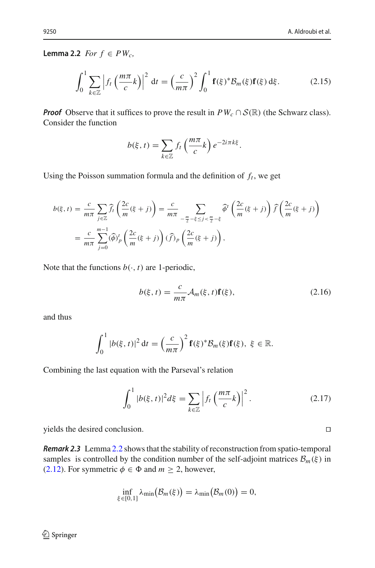**Lemma 2.2** *For f* ∈ *PWc,*

<span id="page-9-0"></span>
$$
2 For f \in PW_c,
$$
\n
$$
\int_0^1 \sum_{k \in \mathbb{Z}} \left| f_t \left( \frac{m\pi}{c} k \right) \right|^2 dt = \left( \frac{c}{m\pi} \right)^2 \int_0^1 \mathbf{f}(\xi)^* \mathcal{B}_m(\xi) \mathbf{f}(\xi) d\xi. \tag{2.15}
$$

*Proof* Observe that it suffices to prove the result in *PW<sub>c</sub>* ∩ *S*(ℝ) (the Schwarz class).<br> *b*(ξ, *t*) =  $\sum f_t \left(\frac{m\pi}{c} k\right) e^{-2i\pi k \xi}$ . Consider the function

$$
b(\xi, t) = \sum_{k \in \mathbb{Z}} f_t \left( \frac{m\pi}{c} k \right) e^{-2i\pi k \xi}.
$$

Using the Poisson summation formula and the definition of  $f_t$ , we get

$$
b(\xi, t) = \frac{c}{m\pi} \sum_{j\in\mathbb{Z}} \widehat{f}_t\left(\frac{2c}{m}(\xi + j)\right) = \frac{c}{m\pi} \sum_{-\frac{m}{2}-\xi \le j < \frac{m}{2}-\xi} \widehat{\phi}^t\left(\frac{2c}{m}(\xi + j)\right) \widehat{f}\left(\frac{2c}{m}(\xi + j)\right)
$$

$$
= \frac{c}{m\pi} \sum_{j=0}^{m-1} (\widehat{\phi})_p^t\left(\frac{2c}{m}(\xi + j)\right) (\widehat{f})_p\left(\frac{2c}{m}(\xi + j)\right),
$$

Note that the functions  $b(\cdot, t)$  are 1-periodic,

$$
b(\xi, t) = \frac{c}{m\pi} \mathcal{A}_m(\xi, t) \mathbf{f}(\xi),
$$
 (2.16)

and thus

$$
\int_0^1 |b(\xi,t)|^2 dt = \left(\frac{c}{m\pi}\right)^2 \mathbf{f}(\xi)^* \mathcal{B}_m(\xi) \mathbf{f}(\xi), \ \xi \in \mathbb{R}.
$$

Combining the last equation with the Parseval's relation  
\n
$$
\int_0^1 |b(\xi, t)|^2 d\xi = \sum_{k \in \mathbb{Z}} \left| f_t \left( \frac{m\pi}{c} k \right) \right|^2.
$$
\n(2.17)

yields the desired conclusion.

*Remark 2.3* Lemma [2.2](#page-8-0) shows that the stability of reconstruction from spatio-temporal samples is controlled by the condition number of the self-adjoint matrices *B<sub>m</sub>*(ξ) in<br>
(2.12). For symmetric *ϕ* ∈ Φ and *m* ≥ 2, however,<br>  $\inf_{\xi \in [0, 1]} \lambda_{\min} (\mathcal{B}_m(\xi)) = \lambda_{\min} (\mathcal{B}_m(0)) = 0$ , [\(2.12\)](#page-8-1). For symmetric  $\phi \in \Phi$  and  $m \ge 2$ , however,

$$
\inf_{\xi \in [0,1]} \lambda_{\min}(\mathcal{B}_m(\xi)) = \lambda_{\min}(\mathcal{B}_m(0)) = 0,
$$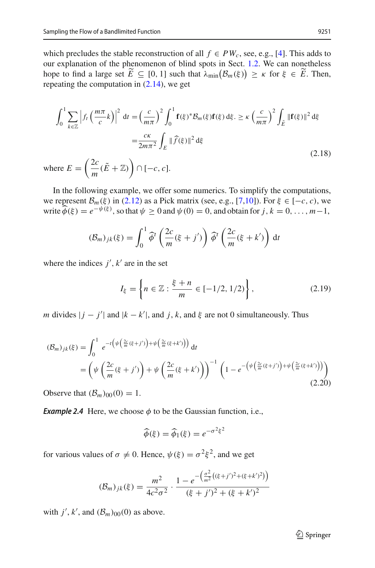which precludes the stable reconstruction of all  $f \in PW_c$ , see, e.g., [\[4](#page-33-10)]. This adds to our explanation of the phenomenon of blind spots in Sect. [1.2.](#page-6-0) We can nonetheless which precludes the stable reconstruction of all  $f \in PW_c$ , see, e.g., [4]. This adds to our explanation of the phenomenon of blind spots in Sect. 1.2. We can nonetheless hope to find a large set  $\widetilde{E} \subseteq [0, 1]$  such that repeating the computation in [\(2.14\)](#page-8-2), we get<br>  $\int_0^1 \sum |e^{(m\pi x)}|^2 \cdot (e^{-(C-x^2)})^2 f_{\text{max}}^1$ 

<span id="page-10-2"></span>repeating the computation in (2.14), we get  
\n
$$
\int_0^1 \sum_{k \in \mathbb{Z}} \left| f_t \left( \frac{m\pi}{c} k \right) \right|^2 dt = \left( \frac{c}{m\pi} \right)^2 \int_0^1 \mathbf{f}(\xi)^* \mathcal{B}_m(\xi) \mathbf{f}(\xi) d\xi. \ge \kappa \left( \frac{c}{m\pi} \right)^2 \int_{\tilde{E}} ||\mathbf{f}(\xi)||^2 d\xi
$$
\n
$$
= \frac{c\kappa}{2m\pi^2} \int_E ||\widehat{f}(\xi)||^2 d\xi
$$
\nwhere  $E = \left( \frac{2c}{m} (\tilde{E} + \mathbb{Z}) \right) \cap [-c, c].$  (2.18)

In the following example, we offer some numerics. To simplify the computations, we represent  $\mathcal{B}_m(\xi)$  in [\(2.12\)](#page-8-1) as a Pick matrix (see, e.g., [\[7](#page-33-8)[,10](#page-33-9)]). For  $\xi \in [-c, c)$ , we In the following example, we offer some numerics. To simplify the computations<br>we represent  $B_m(\xi)$  in (2.12) as a Pick matrix (see, e.g., [7,10]). For  $\xi \in [-c, c)$ , we<br>write  $\hat{\phi}(\xi) = e^{-\psi(\xi)}$ , so that  $\psi \ge 0$  and  $\psi(0)$ 

$$
(\mathcal{B}_m)_{jk}(\xi) = \int_0^1 \widehat{\phi}^t \left( \frac{2c}{m} (\xi + j') \right) \widehat{\phi}^t \left( \frac{2c}{m} (\xi + k') \right) dt
$$

where the indices  $j'$ ,  $k'$  are in the set

<span id="page-10-1"></span>
$$
I_{\xi} = \left\{ n \in \mathbb{Z} : \frac{\xi + n}{m} \in [-1/2, 1/2) \right\},\tag{2.19}
$$

*m* divides  $|j - j'|$  and  $|k - k'|$ , and  $j, k$ , and  $\xi$  are not 0 simultaneously. Thus

<span id="page-10-0"></span>
$$
(\mathcal{B}_m)_{jk}(\xi) = \int_0^1 e^{-t\left(\psi\left(\frac{2c}{m}(\xi + j')\right) + \psi\left(\frac{2c}{m}(\xi + k')\right)\right)} dt
$$
  
= 
$$
\left(\psi\left(\frac{2c}{m}(\xi + j')\right) + \psi\left(\frac{2c}{m}(\xi + k')\right)\right)^{-1} \left(1 - e^{-\left(\psi\left(\frac{2c}{m}(\xi + j')\right) + \psi\left(\frac{2c}{m}(\xi + k')\right)\right)}\right)
$$
(2.20)

Observe that  $(\mathcal{B}_m)_{00}(0) = 1$ .

*Example 2.4* Here, we choose  $\phi$  to be the Gaussian function, i.e.,<br>  $\widehat{\phi}(\xi) = \widehat{\phi}_1(\xi) = e^{-\sigma^2 \xi^2}$ 

$$
\widehat{\phi}(\xi) = \widehat{\phi}_1(\xi) = e^{-\sigma^2 \xi^2}
$$

for various values of  $\sigma \neq 0$ . Hence,  $\psi(\xi) = \sigma^2 \xi^2$ , and we get

$$
\text{es of } \sigma \neq 0. \text{ Hence, } \psi(\xi) = \sigma^2 \xi^2 \text{, and we get}
$$
\n
$$
(\mathcal{B}_m)_{jk}(\xi) = \frac{m^2}{4c^2 \sigma^2} \cdot \frac{1 - e^{-\left(\frac{\sigma^2}{m^2} \left((\xi + j')^2 + (\xi + k')^2\right)\right)}}{(\xi + j')^2 + (\xi + k')^2}
$$

with  $j'$ ,  $k'$ , and  $(\mathcal{B}_m)_{00}(0)$  as above.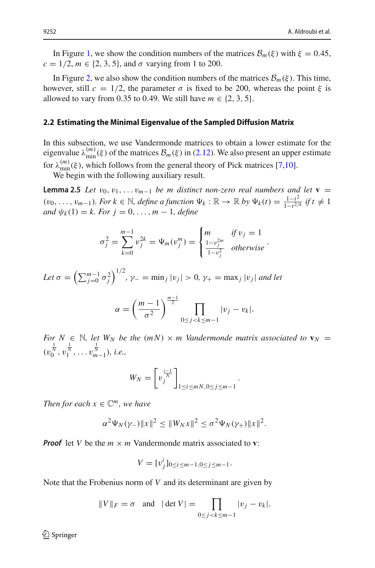In Figure [1,](#page-12-0) we show the condition numbers of the matrices  $\mathcal{B}_m(\xi)$  with  $\xi = 0.45$ ,  $c = 1/2, m \in \{2, 3, 5\}$ , and  $\sigma$  varying from 1 to 200.

In Figure [2,](#page-13-0) we also show the condition numbers of the matrices  $\mathcal{B}_m(\xi)$ . This time, however, still  $c = 1/2$ , the parameter  $\sigma$  is fixed to be 200, whereas the point  $\xi$  is allowed to vary from 0.35 to 0.49. We still have  $m \in \{2, 3, 5\}$ .

#### **2.2 Estimating the Minimal Eigenvalue of the Sampled Diffusion Matrix**

In this subsection, we use Vandermonde matrices to obtain a lower estimate for the eigenvalue  $\lambda_{\min}^{(m)}(\xi)$  of the matrices  $\mathcal{B}_m(\xi)$  in [\(2.12\)](#page-8-1). We also present an upper estimate for  $\lambda_{\min}^{(m)}(\xi)$ , which follows from the general theory of Pick matrices [\[7](#page-33-8)[,10\]](#page-33-9).

<span id="page-11-0"></span>We begin with the following auxiliary result.

**Lemma 2.5** *Let*  $v_0, v_1, \ldots v_{m-1}$  *be m distinct non-zero real numbers and let*  $\mathbf{v} =$ (v<sub>0</sub>,..., v<sub>m−1</sub>). For  $k \in \mathbb{N}$ , define a function  $\Psi_k : \mathbb{R} \to \mathbb{R}$  by  $\Psi_k(t) = \frac{1-t^2}{1-t^{2/k}}$  if  $t \neq 1$ *and*  $\psi_k(1) = k$ . For  $j = 0, ..., m - 1$ , define ⎨

$$
\sigma_j^2 = \sum_{k=0}^{m-1} v_j^{2k} = \Psi_m(v_j^m) = \begin{cases} m & \text{if } v_j = 1\\ \frac{1 - v_j^{2m}}{1 - v_j^2} & \text{otherwise} \end{cases}.
$$

Let  $\sigma = \left( \sum_{j=0}^{m-1} \sigma_j^2 \right)$ <sup>1/2</sup>, γ<sub>−</sub> = min<sub>j</sub> |v<sub>j</sub>| > 0, γ<sub>+</sub> = max<sub>j</sub> |v<sub>j</sub>| *and let*  $\gamma_{-} = \min_{j} |v_j| > 0,$  )<br>  $\left(m - 1\right)^{\frac{m-1}{2}}$ 

$$
\alpha = \left(\frac{m-1}{\sigma^2}\right)^{\frac{m-1}{2}} \prod_{0 \le j < k \le m-1} |v_j - v_k|.
$$

*For*  $N \in \mathbb{N}$ , let  $W_N$  be the  $(mN) \times m$  Vandermonde matrix associated to  $\mathbf{v}_N =$  $(v_0^{\frac{1}{N}}, v_1^{\frac{1}{N}}, \ldots v_{m-1}^{\frac{1}{N}})$ *, i.e.*,

$$
W_N = \left[ v_j^{\frac{i-1}{N}} \right]_{1 \le i \le mN, 0 \le j \le m-1}
$$

.

*Then for each*  $x \in \mathbb{C}^m$ , we have

$$
\alpha^2 \Psi_N(\gamma_-) \|x\|^2 \le \|W_N x\|^2 \le \sigma^2 \Psi_N(\gamma_+) \|x\|^2.
$$

*Proof* let *V* be the  $m \times m$  Vandermonde matrix associated to **v**:

$$
V=[v_j^i]_{0\leq i\leq m-1,0\leq j\leq m-1}.
$$

Note that the Frobenius norm of *V* and its determinant are given by

$$
V = \sum_{j=0}^{n} \sum_{j=m-1}^{n} \sum_{j=m-1}^{n} \sum_{j=m-1}^{n} \sum_{j=m-1}^{n} \sum_{j=m-1}^{n} |v_j - v_k|.
$$
  
obenius norm of *V* and its determinant are given by  

$$
||V||_F = \sigma \text{ and } |det V| = \prod_{0 \le j < k \le m-1} |v_j - v_k|.
$$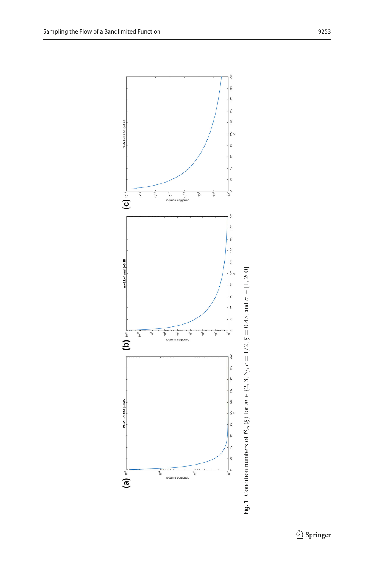

<span id="page-12-0"></span> $\underline{\textcircled{\tiny 2}}$  Springer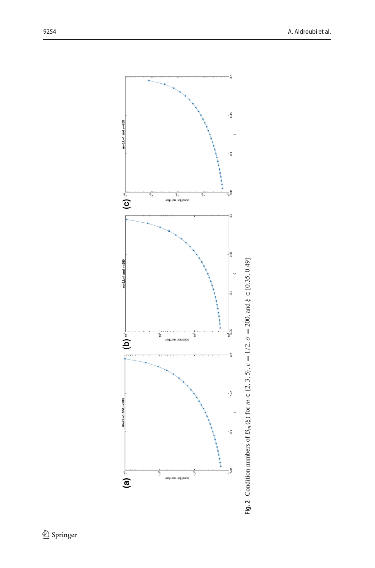<span id="page-13-0"></span>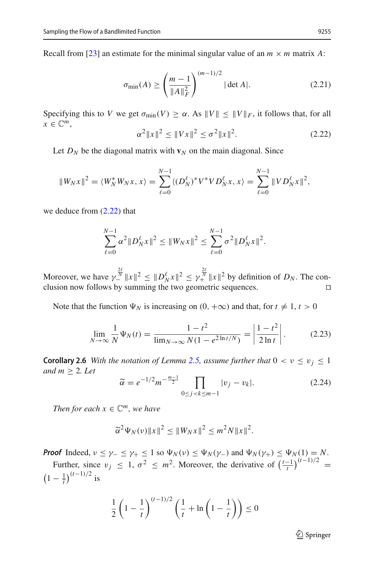Recall from [\[23\]](#page-33-11) an estimate for the minimal singular value of an  $m \times m$  matrix A:

<span id="page-14-4"></span>
$$
\sigma_{\min}(A) \ge \left(\frac{m-1}{\|A\|_F^2}\right)^{(m-1)/2} |\det A|.
$$
 (2.21)

Specifying this to *V* we get  $\sigma_{\min}(V) \ge \alpha$ . As  $||V|| \le ||V||_F$ , it follows that, for all  $x \in \mathbb{C}^m$ ,

<span id="page-14-0"></span>
$$
\alpha^2 \|x\|^2 \le \|Vx\|^2 \le \sigma^2 \|x\|^2. \tag{2.22}
$$

Let  $D_N$  be the diagonal matrix with  $\mathbf{v}_N$  on the main diagonal. Since

$$
||W_Nx||^2 = \langle W_N^*W_Nx, x \rangle = \sum_{\ell=0}^{N-1} \langle (D_N^{\ell})^*V^*VD_N^{\ell}x, x \rangle = \sum_{\ell=0}^{N-1} ||VD_N^{\ell}x||^2,
$$

we deduce from  $(2.22)$  that

$$
\sum_{\ell=0}^{N-1} \alpha^2 \|D_N^{\ell} x\|^2 \le \|W_N x\|^2 \le \sum_{\ell=0}^{N-1} \sigma^2 \|D_N^{\ell} x\|^2.
$$

Moreover, we have  $\gamma_-^{\frac{2\ell}{N}} \|x\|^2 \leq \|D_N^{\ell} x\|^2 \leq \gamma_+^{\frac{2\ell}{N}} \|x\|^2$  by definition of  $D_N$ . The conclusion now follows by summing the two geometric sequences.  $\Box$ 

Note that the function  $\Psi_N$  is increasing on  $(0, +\infty)$  and that, for  $t \neq 1, t > 0$ 

<span id="page-14-3"></span>
$$
\lim_{N \to \infty} \frac{1}{N} \Psi_N(t) = \frac{1 - t^2}{\lim_{N \to \infty} N(1 - e^{2\ln t/N})} = \left| \frac{1 - t^2}{2\ln t} \right|.
$$
 (2.23)

<span id="page-14-1"></span>**Corollary 2.6** *With the notation of Lemma [2.5,](#page-11-0) assume further that*  $0 < v \le v_j \le 1$ *and*  $m \geq 2$ *. Let* 

<span id="page-14-2"></span>
$$
\widetilde{\alpha} = e^{-1/2} m^{-\frac{m-1}{2}} \prod_{0 \le j < k \le m-1} |v_j - v_k|.
$$
\n(2.24)

*Then for each*  $x \in \mathbb{C}^m$ , we have

$$
\widetilde{\alpha}^2 \Psi_N(v) \|x\|^2 \le \|W_N x\|^2 \le m^2 N \|x\|^2.
$$

*Proof* Indeed,  $\nu \le \gamma_- \le \gamma_+ \le 1$  so  $\Psi_N(\nu) \le \Psi_N(\gamma_-)$  and  $\Psi_N(\gamma_+) \le \Psi_N(1) = N$ .

Froof Indeed,  $v \le \gamma_- \le \gamma_+ \le 1$  so  $\Psi_N(v) \le \Psi_N(\gamma_-)$  and  $\Psi_N(\gamma_+) \le \Psi_N(1) = N$ .<br>
Further, since  $v_j \le 1$ ,  $\sigma^2 \le m^2$ . Moreover, the derivative of  $\left(\frac{t-1}{t}\right)^{(t-1)/2}$ <br>  $\left(1 - \frac{1}{t}\right)^{(t-1)/2}$  is<br>  $\frac{1}{2}\left(1 - \frac{1}{t}\right)^{(t \left(1 - \frac{1}{t}\right)^{(t-1)/2}$  is

$$
\frac{1}{2}\left(1-\frac{1}{t}\right)^{(t-1)/2}\left(\frac{1}{t}+\ln\left(1-\frac{1}{t}\right)\right)\leq 0
$$

 $\mathcal{D}$  Springer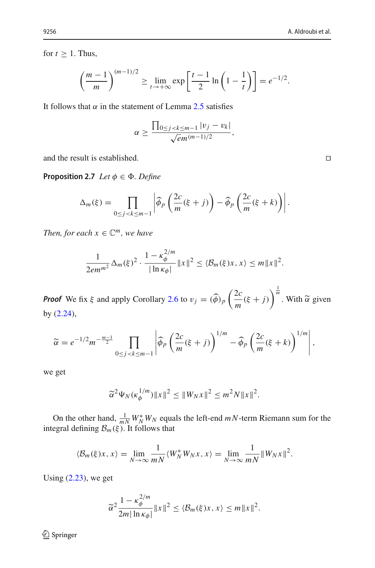"

for  $t \geq 1$ . Thus,

Γ

Γ

Thus,  

$$
\left(\frac{m-1}{m}\right)^{(m-1)/2} \ge \lim_{t\to+\infty} \exp\left[\frac{t-1}{2}\ln\left(1-\frac{1}{t}\right)\right] = e^{-1/2}.
$$

It follows that  $\alpha$  in the statement of Lemma [2.5](#page-11-0) satisfies

$$
\alpha \geq \frac{\prod_{0 \leq j < k \leq m-1} |v_j - v_k|}{\sqrt{em^{(m-1)/2}}},
$$

<span id="page-15-0"></span>and the result is established.

**Proposition 2.7** *Let*  $\phi \in \Phi$ *. Define* 

$$
\begin{aligned} \mathsf{n2.7} \ \textit{Let } \phi \in \Phi. \ \textit{Define} \\ \Delta_m(\xi) &= \prod_{0 \le j < k \le m-1} \left| \widehat{\phi}_p \left( \frac{2c}{m} (\xi + j) \right) - \widehat{\phi}_p \left( \frac{2c}{m} (\xi + k) \right) \right|. \end{aligned}
$$

*Then, for each*  $x \in \mathbb{C}^m$ *, we have* 

$$
\frac{1}{2em^{m^2}}\Delta_m(\xi)^2\cdot\frac{1-\kappa_{\phi}^{2/m}}{|\ln \kappa_{\phi}|}\|x\|^2\leq \langle \mathcal{B}_m(\xi)x, x\rangle \leq m\|x\|^2.
$$

*Proof* We fix  $\xi$  and apply Corollary [2.6](#page-14-1) to  $v_j = (\widehat{\phi})_p \left( \frac{2c}{m} (\xi + j) \right)$  $\frac{1}{m}$ . With  $\tilde{\alpha}$  given by [\(2.24\)](#page-14-2), <sup>7</sup> Corollary 2.0 to  $v_j = (4)$  $(\frac{1}{m} + j)$  With  $\alpha$ <br>(2*c*  $\frac{1}{m}$ 

$$
\widetilde{\alpha} = e^{-1/2} m^{-\frac{m-1}{2}} \prod_{0 \le j < k \le m-1} \left| \widehat{\phi}_p \left( \frac{2c}{m} (\xi + j) \right)^{1/m} - \widehat{\phi}_p \left( \frac{2c}{m} (\xi + k) \right)^{1/m} \right|,
$$

we get

$$
\widetilde{\alpha}^2 \Psi_N(\kappa_\phi^{1/m}) \|x\|^2 \le \|W_N x\|^2 \le m^2 N \|x\|^2.
$$

On the other hand,  $\frac{1}{mN} W_N^* W_N$  equals the left-end  $mN$ -term Riemann sum for the integral defining  $\mathcal{B}_m(\xi)$ . It follows that

$$
\langle \mathcal{B}_m(\xi)x, x \rangle = \lim_{N \to \infty} \frac{1}{mN} \langle W_N^* W_N x, x \rangle = \lim_{N \to \infty} \frac{1}{mN} ||W_N x||^2.
$$

Using  $(2.23)$ , we get

$$
\widetilde{\alpha}^2 \frac{1 - \kappa_{\phi}^{2/m}}{2m |\ln \kappa_{\phi}|} ||x||^2 \leq \langle \mathcal{B}_m(\xi)x, x \rangle \leq m ||x||^2.
$$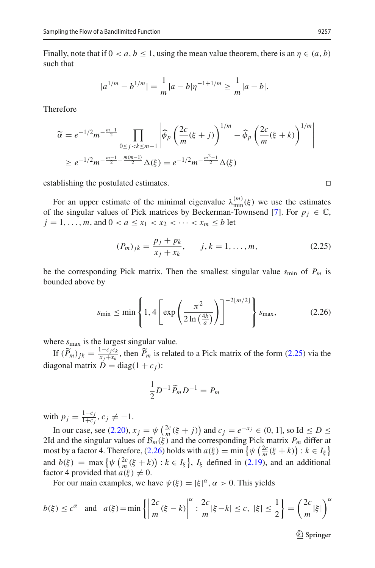Finally, note that if  $0 < a, b \le 1$ , using the mean value theorem, there is an  $\eta \in (a, b)$ such that

$$
|a^{1/m} - b^{1/m}| = \frac{1}{m}|a - b|\eta^{-1+1/m} \ge \frac{1}{m}|a - b|.
$$

Therefore

$$
m^{1/2} = m^{1/2}
$$
  
\n
$$
\widetilde{\alpha} = e^{-1/2} m^{-\frac{m-1}{2}} \prod_{0 \le j < k \le m-1} \left| \widehat{\phi}_p \left( \frac{2c}{m} (\xi + j) \right)^{1/m} - \widehat{\phi}_p \left( \frac{2c}{m} (\xi + k) \right)^{1/m} \right|
$$
  
\n
$$
\ge e^{-1/2} m^{-\frac{m-1}{2} - \frac{m(m-1)}{2}} \Delta(\xi) = e^{-1/2} m^{-\frac{m^2 - 1}{2}} \Delta(\xi)
$$

establishing the postulated estimates.

For an upper estimate of the minimal eigenvalue  $\lambda_{\min}^{(m)}(\xi)$  we use the estimates of the singular values of Pick matrices by Beckerman-Townsend [\[7](#page-33-8)]. For  $p_i \in \mathbb{C}$ ,  $j = 1, \ldots, m$ , and  $0 < a \le x_1 < x_2 < \cdots < x_m \le b$  let

<span id="page-16-0"></span>
$$
(P_m)_{jk} = \frac{p_j + p_k}{x_j + x_k}, \qquad j, k = 1, \dots, m,
$$
\n(2.25)

be the corresponding Pick matrix. Then the smallest singular value  $s_{\text{min}}$  of  $P_m$  is bounded above by ial

<span id="page-16-1"></span>finding Pick matrix. Then the smallest singular value 
$$
s_{\text{min}}
$$
 of  $P_m$  is

\nby

\n
$$
s_{\text{min}} \leq \min \left\{ 1, 4 \left[ \exp\left( \frac{\pi^2}{2 \ln\left(\frac{4b}{a}\right)} \right) \right]^{-2\lfloor m/2 \rfloor} \right\} s_{\text{max}},\tag{2.26}
$$

where  $s_{\text{max}}$  is the largest singular value.

If  $(\widetilde{P}_m)_{jk} = \frac{1-c_jc_k}{x_j+x_k}$ , then  $\widetilde{P}_m$  is related to a Pick matrix of the form [\(2.25\)](#page-16-0) via the diagonal matrix  $\dot{D} = \text{diag}(1 + c_i)$ :

$$
\frac{1}{2}D^{-1}\widetilde{P}_mD^{-1}=P_m
$$

with  $p_j = \frac{1 - c_j}{1 + c_j}, c_j \neq -1.$ 

In  $p_j = \frac{1 - c_j}{1 + c_j}, c_j \neq -1.$ <br>
In our case, see [\(2.20\)](#page-10-0),  $x_j = \psi\left(\frac{2c}{m}(\xi + j)\right)$  and  $c_j = e^{-x_j} \in (0, 1]$ , so Id  $\leq D \leq$ 2Id and the singular values of  $\mathcal{B}_m(\xi)$  and the corresponding Pick matrix  $P_m$  differ at with  $p_j = \frac{1 - c_j}{1 + c_j}$ ,  $c_j \neq -1$ .<br>
In our case, see (2.20),  $x_j = \psi\left(\frac{2c}{m}(\xi + j)\right)$  and  $c_j = e^{-x_j} \in (0, 1]$ , so Id  $\leq D \leq 2$ Id and the singular values of  $\mathcal{B}_m(\xi)$  and the corresponding Pick matrix  $P_m$  differ a mo  $\begin{aligned} \n\forall i \in (0, 1) \\ \n\psi \left( \frac{2c}{m} \right) \n\end{aligned}$ In our case, see (2.20)<br>2Id and the singular valu<br>most by a factor 4. There:<br>and  $b(\xi) = \max \{ \psi \left( \frac{2c}{m} \right)$  $\frac{dS}{dt}(\xi + k)$  :  $k \in I_{\xi}$ ,  $I_{\xi}$  defined in [\(2.19\)](#page-10-1), and an additional  $f(k) \neq 0$  $\psi$  ( $\frac{2c}{m}$ ( $\xi$  +

For our main examples, we have  $\psi(\xi) = |\xi|^{\alpha}, \alpha > 0$ . This yields

factor 4 provided that 
$$
a(\xi) \neq 0
$$
.  
\nFor our main examples, we have  $\psi(\xi) = |\xi|^{\alpha}$ ,  $\alpha > 0$ . This yields  
\n
$$
b(\xi) \leq c^{\alpha} \text{ and } a(\xi) = \min \left\{ \left| \frac{2c}{m}(\xi - k) \right|^{\alpha} : \frac{2c}{m} |\xi - k| \leq c, |\xi| \leq \frac{1}{2} \right\} = \left( \frac{2c}{m} |\xi| \right)^{\alpha}
$$

 $\mathcal{D}$  Springer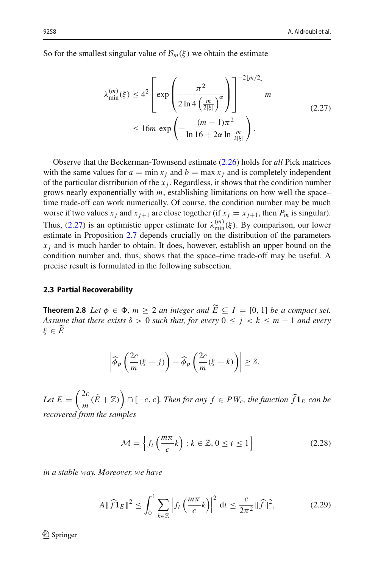So for the smallest singular value of  $\mathcal{B}_m(\xi)$  we obtain the estimate

<span id="page-17-1"></span>
$$
\lambda_{\min}^{(m)}(\xi) \le 4^2 \left[ \exp\left(\frac{\pi^2}{2\ln 4 \left(\frac{m}{2|\xi|}\right)^{\alpha}}\right) \right]^{-2\lfloor m/2 \rfloor} m
$$
\n
$$
\le 16m \exp\left(-\frac{(m-1)\pi^2}{\ln 16 + 2\alpha \ln \frac{m}{2|\xi|}}\right).
$$
\n(2.27)

Observe that the Beckerman-Townsend estimate [\(2.26\)](#page-16-1) holds for *all* Pick matrices with the same values for  $a = \min x_i$  and  $b = \max x_i$  and is completely independent of the particular distribution of the  $x_j$ . Regardless, it shows that the condition number grows nearly exponentially with *m*, establishing limitations on how well the space– time trade-off can work numerically. Of course, the condition number may be much worse if two values  $x_j$  and  $x_{j+1}$  are close together (if  $x_j = x_{j+1}$ , then  $P_m$  is singular). Thus, [\(2.27\)](#page-17-1) is an optimistic upper estimate for  $\lambda_{\min}^{(m)}(\xi)$ . By comparison, our lower estimate in Proposition [2.7](#page-15-0) depends crucially on the distribution of the parameters  $x_i$  and is much harder to obtain. It does, however, establish an upper bound on the condition number and, thus, shows that the space–time trade-off may be useful. A precise result is formulated in the following subsection.

### **2.3 Partial Recoverability**

<span id="page-17-0"></span>**Theorem 2.8** *Let*  $\phi \in \Phi$ ,  $m \geq 2$  *an integer and*  $E \subseteq I = [0, 1]$  *be a compact set. Assume that there exists*  $\delta > 0$  *such that, for every*  $0 \leq j < k \leq m-1$  *and every* ξ ∈ *E* Ĭ

$$
\left|\widehat{\phi}_p\left(\frac{2c}{m}(\xi+j)\right)-\widehat{\phi}_p\left(\frac{2c}{m}(\xi+k)\right)\right|\geq \delta.
$$

Let  $E = \left(\frac{2c}{m}(\tilde{E} + \mathbb{Z})\right)$  $\cap$  [−*c*, *c*]. Then for any  $f \in PW_c$ , the function  $\hat{f}$ **1***E can be recovered from the samples*

$$
\mathcal{M} = \left\{ f_t \left( \frac{m\pi}{c} k \right) : k \in \mathbb{Z}, 0 \le t \le 1 \right\}
$$
 (2.28)

have

in a stable way. Moreover, we have  
\n
$$
A \|\widehat{f}\mathbf{1}_E\|^2 \le \int_0^1 \sum_{k \in \mathbb{Z}} \left| f_t \left( \frac{m\pi}{c} k \right) \right|^2 dt \le \frac{c}{2\pi^2} \|\widehat{f}\|^2,
$$
\n(2.29)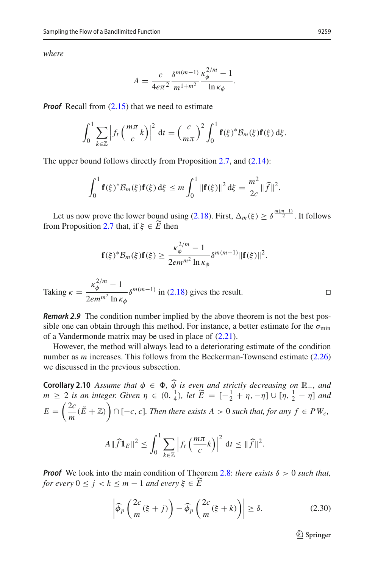*where*

$$
A = \frac{c}{4e\pi^2} \frac{\delta^{m(m-1)} \kappa_{\phi}^{2/m} - 1}{m^{1+m^2}}.
$$

*Proof* Recall from [\(2.15\)](#page-9-0) that we need to estimate

all from (2.15) that we need to estimate  
\n
$$
\int_0^1 \sum_{k \in \mathbb{Z}} \left| f_t \left( \frac{m\pi}{c} k \right) \right|^2 dt = \left( \frac{c}{m\pi} \right)^2 \int_0^1 \mathbf{f}(\xi)^* \mathcal{B}_m(\xi) \mathbf{f}(\xi) d\xi.
$$

The upper bound follows directly from Proposition 2.7, and (2.14):  
\n
$$
\int_0^1 \mathbf{f}(\xi)^* \mathcal{B}_m(\xi) \mathbf{f}(\xi) d\xi \le m \int_0^1 ||\mathbf{f}(\xi)||^2 d\xi = \frac{m^2}{2c} ||\widehat{f}||^2.
$$

Let us now prove the lower bound using [\(2.18\)](#page-10-2). First,  $\Delta_m(\xi) \geq \delta^{\frac{m(m-1)}{2}}$ . It follows from Proposition [2.7](#page-15-0) that, if  $\xi \in E$  then

$$
\mathbf{f}(\xi)^* \mathcal{B}_m(\xi) \mathbf{f}(\xi) \ge \frac{\kappa_{\phi}^{2/m} - 1}{2em^{m^2} \ln \kappa_{\phi}} \delta^{m(m-1)} \|\mathbf{f}(\xi)\|^2.
$$

Taking 
$$
\kappa = \frac{\kappa_{\phi}^{2/m} - 1}{2em^{m^2} \ln \kappa_{\phi}} \delta^{m(m-1)}
$$
 in (2.18) gives the result.

*Remark 2.9* The condition number implied by the above theorem is not the best possible one can obtain through this method. For instance, a better estimate for the  $\sigma_{min}$ of a Vandermonde matrix may be used in place of [\(2.21\)](#page-14-4).

However, the method will always lead to a deteriorating estimate of the condition number as *m* increases. This follows from the Beckerman-Townsend estimate [\(2.26\)](#page-16-1) we discussed in the previous subsection. 

<span id="page-18-1"></span>**Corollary 2.10** *Assume that*  $\phi \in \Phi$ ,  $\widehat{\phi}$  *is even and strictly decreasing on*  $\mathbb{R}_+$ *, and*  $m \geq 2$  *is an integer. Given*  $\eta \in (0, \frac{1}{4})$ *, let*  $\widetilde{E} = [-\frac{1}{2} + \eta, -\eta] \cup [\eta, \frac{1}{2} - \eta]$  *and*  $E = \left(\frac{2c}{m}(\tilde{E} + \mathbb{Z})\right) \cap [-c, c]$ *. Then there exists A* > 0 *such that, for any f* ∈ *PW<sub>c</sub>*,<br>  $A \|\widehat{f}\mathbf{1}_E\|^2 \leq \int_c^1 \sum \left|f_t\left(\frac{m\pi}{c}k\right)\right|^2 dt \leq \|\widehat{f}\|^2$ *.* Then the exists  $A > 0$  such th<br>  $\left(\frac{m\pi}{c}k\right)\Big|^2 dt \leq \|\widehat{f}\|$ 

$$
A\|\widehat{f}\mathbf{1}_E\|^2 \leq \int_0^1 \sum_{k\in\mathbb{Z}} \left|f_t\left(\frac{m\pi}{c}k\right)\right|^2 \, \mathrm{d}t \leq \|\widehat{f}\|^2.
$$

*Proof* We look into the main condition of Theorem [2.8:](#page-17-0) *there exists*  $\delta > 0$  *such that, for every*  $0 \le j < k \le m - 1$  *and every*  $\xi \in \widehat{E}$ 

<span id="page-18-0"></span>
$$
\left| \widehat{\phi}_p \left( \frac{2c}{m} (\xi + j) \right) - \widehat{\phi}_p \left( \frac{2c}{m} (\xi + k) \right) \right| \ge \delta. \tag{2.30}
$$

 $\mathcal{D}$  Springer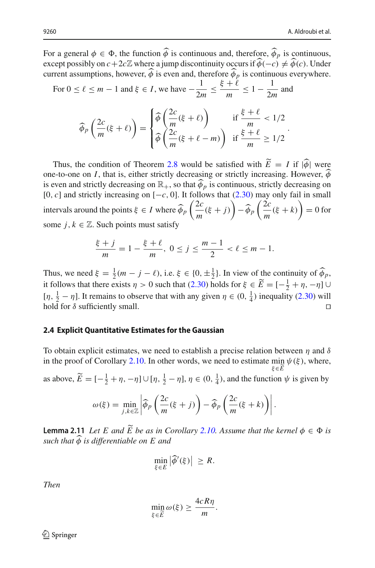For a general  $\phi \in \Phi$ , the function  $\phi$  is continuous and, therefore,  $\phi_p$  is continuous, For a general  $\phi \in \Phi$ , the function  $\widehat{\phi}$  is continuous and, therefore,  $\widehat{\phi}_p$  is continuous,<br>except possibly on  $c + 2c\mathbb{Z}$  where a jump discontinuity occurs if  $\widehat{\phi}(-c) \neq \widehat{\phi}(c)$ . Under current assumptions, however,  $\phi$  is even and, therefore  $\phi_p$  is continuous everywhere. --

For 
$$
0 \le \ell \le m - 1
$$
 and  $\xi \in I$ , we have  $-\frac{1}{2m} \le \frac{\xi + \ell}{m} \le 1 - \frac{1}{2m}$  and  

$$
\widehat{\phi}_p\left(\frac{2c}{m}(\xi + \ell)\right) = \begin{cases} \widehat{\phi}\left(\frac{2c}{m}(\xi + \ell)\right) & \text{if } \frac{\xi + \ell}{m} < 1/2 \\ \widehat{\phi}\left(\frac{2c}{m}(\xi + \ell - m)\right) & \text{if } \frac{\xi + \ell}{m} \ge 1/2 \end{cases}
$$

Thus, the condition of Theorem [2.8](#page-17-0) would be satisfied with  $E = I$  if  $|\phi|$  were one-to-one on *I*, that is, either strictly decreasing or strictly increasing. However,  $\hat{\phi}$ is even and strictly decreasing on  $\mathbb{R}_+$ , so that  $\widehat{\phi}_p$  is continuous, strictly decreasing on [0, *c*] and strictly increasing on [−*c*, 0]. It follows that [\(2.30\)](#page-18-0) may only fail in small intervals around the points  $\xi \in I$  where  $\widehat{\phi}_p\left(\frac{2c}{m}(\xi+j)\right) - \widehat{\phi}_p\left(\frac{2c}{m}(\xi+k)\right) = 0$  for some *j*,  $k \in \mathbb{Z}$ . Such points must satisfy

$$
\frac{\xi+j}{m} = 1 - \frac{\xi+\ell}{m}, \ 0 \le j \le \frac{m-1}{2} < \ell \le m-1.
$$

Thus, we need  $\xi = \frac{1}{2}(m - j - \ell)$ , i.e.  $\xi \in \{0, \pm \frac{1}{2}\}$ . In view of the continuity of  $\widehat{\phi}_p$ , it follows that there exists  $\eta > 0$  such that [\(2.30\)](#page-18-0) holds for  $\xi \in \widetilde{E} = [-\frac{1}{2} + \eta, -\eta] \cup$  $[\eta, \frac{1}{2} - \eta]$ . It remains to observe that with any given  $\eta \in (0, \frac{1}{4})$  inequality [\(2.30\)](#page-18-0) will hold for  $\delta$  sufficiently small.

### **2.4 Explicit Quantitative Estimates for the Gaussian**

To obtain explicit estimates, we need to establish a precise relation between  $\eta$  and  $\delta$ in the proof of Corollary [2.10.](#page-18-1) In other words, we need to estimate  $\min_{\xi \in \widetilde{E}} \psi(\xi)$ , where, ξ∈*E* as above,  $\widetilde{E} = [-\frac{1}{2} + \eta, -\eta] \cup [\eta, \frac{1}{2} - \eta], \eta \in (0, \frac{1}{4})$ , and the function  $\psi$  is given by  $] \cup [\eta, \frac{1}{2} - \eta], \eta \in (0, \frac{1}{4})$ , and the function

$$
\omega(\xi) = \min_{j,k \in \mathbb{Z}} \left| \widehat{\phi}_p \left( \frac{2c}{m} (\xi + j) \right) - \widehat{\phi}_p \left( \frac{2c}{m} (\xi + k) \right) \right|.
$$

<span id="page-19-0"></span> $\omega(\xi) = \min_{j,k \in \mathbb{Z}} \left| \widehat{\phi}_p \left( \frac{2c}{m} (\xi + j) \right) - \widehat{\phi}_p \left( \frac{2c}{m} (\xi + k) \right) \right|.$ <br> **Lemma 2.11** *Let E and E be as in Corollary [2.10.](#page-18-1)* Assume that the kernel  $\phi \in \Phi$  is such that  $\widehat{\phi}$  is differentiable on *E and*  $\$ *such that* φ *is differentiable on E and*

$$
\min_{\xi \in E} |\widehat{\phi}'(\xi)| \geq R.
$$

*Then*

$$
\min_{\xi \in \widetilde{E}} \omega(\xi) \ge \frac{4cR\eta}{m}.
$$

 $\textcircled{2}$  Springer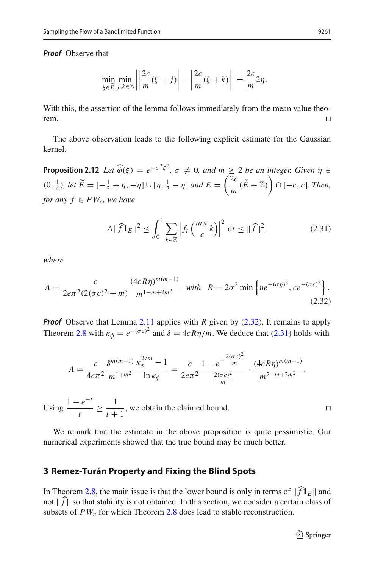j j

*Proof* Observe that

$$
\min_{\xi \in \widetilde{E}} \min_{j,k \in \mathbb{Z}} \left| \left| \frac{2c}{m} (\xi + j) \right| - \left| \frac{2c}{m} (\xi + k) \right| \right| = \frac{2c}{m} 2\eta.
$$

j

j

j j

With this, the assertion of the lemma follows immediately from the mean value theorem.

<span id="page-20-3"></span>The above observation leads to the following explicit estimate for the Gaussian kernel. **Proposition 2.12** *Let*  $\hat{\varphi}(\xi) = e^{-\sigma^2 \xi^2}$ ,  $\sigma \neq 0$ , and  $m \geq 2$  *be an integer. Given*  $\eta \in \mathbb{R}$ t,

 $(0, \frac{1}{4})$ *, let*  $\widetilde{E} = [-\frac{1}{2} + \eta, -\eta] \cup [\eta, \frac{1}{2} - \eta]$  and  $E = \left(\frac{2c}{m}(\tilde{E} + \mathbb{Z})\right) \cap [-c, c]$ *. Then, for any f* ∈  $PW_c$ , we have<br>  $A \parallel \widehat{f} \mathbf{1}_E$ 

<span id="page-20-2"></span>we have  
\n
$$
A \|\widehat{f}\mathbf{1}_E\|^2 \le \int_0^1 \sum_{k \in \mathbb{Z}} \left| f_t\left(\frac{m\pi}{c}k\right) \right|^2 dt \le \|\widehat{f}\|^2,
$$
\n(2.31)

<span id="page-20-1"></span>*where*

where  
\n
$$
A = \frac{c}{2e\pi^2 (2(\sigma c)^2 + m)} \frac{(4cR\eta)^{m(m-1)}}{m^{1-m+2m^2}} \quad \text{with} \quad R = 2\sigma^2 \min \left\{ \eta e^{-(\sigma \eta)^2}, c e^{-(\sigma c)^2} \right\}.
$$
\n(2.32)

*Proof* Observe that Lemma [2.11](#page-19-0) applies with *R* given by [\(2.32\)](#page-20-1). It remains to apply Theorem [2.8](#page-17-0) with  $\kappa_{\phi} = e^{-(\sigma c)^2}$  and  $\delta = 4cR\eta/m$ . We deduce that [\(2.31\)](#page-20-2) holds with

$$
A = \frac{c}{4e\pi^2} \frac{\delta^{m(m-1)}}{m^{1+m^2}} \frac{\kappa_\phi^{2/m} - 1}{\ln \kappa_\phi} = \frac{c}{2e\pi^2} \frac{1 - e^{-\frac{2(\sigma c)^2}{m}}}{\frac{2(\sigma c)^2}{m}} \cdot \frac{(4cR\eta)^{m(m-1)}}{m^{2-m+2m^2}}.
$$

Using  $\frac{1-e^{-t}}{t}$ *t* ≥ 1  $\frac{1}{t+1}$ , we obtain the claimed bound.

We remark that the estimate in the above proposition is quite pessimistic. Our numerical experiments showed that the true bound may be much better.

## **3 Remez-Turán Property and Fixing the Blind Spots**

<span id="page-20-0"></span>**3 Remez-Turán Property and Fixing the Blind Spots**<br>In Theorem [2.8,](#page-17-0) the main issue is that the lower bound is only in terms of  $\|\widehat{f}\mathbf{1}_E\|$  and **3 Rem**<br>In Theory<br>not  $\Vert \widehat{f} \Vert$ not  $\|\widehat{f}\|$  so that stability is not obtained. In this section, we consider a certain class of subsets of  $PW_c$  for which Theorem [2.8](#page-17-0) does lead to stable reconstruction.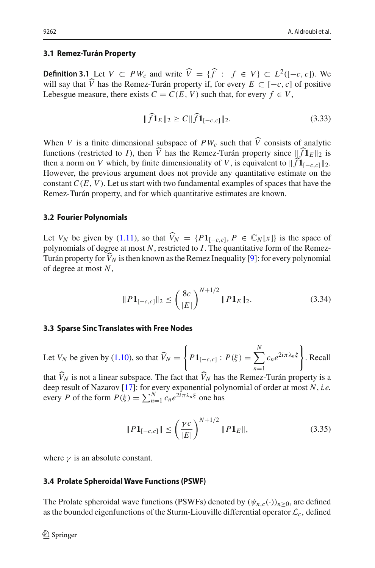# **3.1 Remez-Turán Property** -

**Definition 3.1** Let  $V \subset PW_c$  and write  $\widehat{V} = \{\widehat{f} : f \in V\} \subset L^2([-c, c])$ . We **Definition 3.1** Let  $V \subset PW_c$  and write  $\widehat{V} = \{\widehat{f} : f \in V\} \subset L^2([-c, c])$ . will say that *V* has the Remez-Turán property if, for every  $E \subset [-c, c]$  of positive Lebesgue measure, there exists  $C = C(E, V)$  such that, for every  $f \in V$ ,<br>  $\|\hat{f}\mathbf{1}_E\|_2 \ge C \|\hat{f}\mathbf{1}_{[-c,c]}\|_2$ .

$$
\|\widehat{f}\mathbf{1}_E\|_2 \ge C \|\widehat{f}\mathbf{1}_{[-c,c]}\|_2. \tag{3.33}
$$

When *V* is a finite dimensional subspace of  $PW_c$  such that *V* consists of analytic functions (restricted to *I*), then *V* has the Remez-Turán property since  $||f1_E||_2$  is subspace of  $PW_c$  such that  $\hat{V}$  consists of  $\hat{V}$  has the Remez-Turán property since  $\|\hat{f}\|$ When *V* is a finite dimensional subspace of  $PW_c$  such that  $\widehat{V}$  consists of functions (restricted to *I*), then  $\widehat{V}$  has the Remez-Turán property since  $\|\cdot\|$ , then a norm on *V* which, by finite dimensionality then a norm on V which, by finite dimensionality of V, is equivalent to  $\|\widehat{f}\mathbf{1}_{[-c,c]}\|_2$ . However, the previous argument does not provide any quantitative estimate on the constant  $C(E, V)$ . Let us start with two fundamental examples of spaces that have the Remez-Turán property, and for which quantitative estimates are known.

#### **3.2 Fourier Polynomials**

Let *V<sub>N</sub>* be given by [\(1.11\)](#page-5-1), so that  $\widehat{V}_N = \{P\mathbf{1}_{[-c,c]}, P \in \mathbb{C}_N[x]\}$  is the space of polynomials of degree at most *N*, restricted to *I*. The quantitative form of the Remez-Turán property for  $V_N$  is then known as the Remez Inequality [\[9](#page-33-12)]: for every polynomial of degree at most *N*,

<span id="page-21-0"></span>
$$
||P1_{[-c,c]}||_2 \le \left(\frac{8c}{|E|}\right)^{N+1/2} ||P1_E||_2.
$$
 (3.34)

## **3.3 Sparse Sinc Translates with Free Nodes** -

Let  $V_N$  be given by [\(1.10\)](#page-5-0), so that  $V_N =$ *P***1**<sub>[−*c*,*c*] :  $P(\xi) = \sum^{N}$ </sub> *N n*=1 *cne*<sup>2</sup>*i*πλ*<sup>n</sup>* <sup>ξ</sup> . Recall --

that  $V_N$  is not a linear subspace. The fact that  $V_N$  has the Remez-Turán property is a deep result of Nazarov [\[17\]](#page-33-6): for every exponential polynomial of order at most *N*, *i.e.* that  $\widehat{V}_N$  is not a linear subspace. The fact that  $\widehat{V}_N$  has<br>deep result of Nazarov [17]: for every exponential pol<br>every *P* of the form  $P(\xi) = \sum_{n=1}^{N} c_n e^{2i\pi \lambda_n \xi}$  one has<br> $||P1_{[-c,c]}|| \leq \left(\frac{\gamma c}{|F|}\right)^{N+1/2}$ 

$$
||P1_{[-c,c]}|| \le \left(\frac{\gamma c}{|E|}\right)^{N+1/2} ||P1_E||, \tag{3.35}
$$

where  $\gamma$  is an absolute constant.

### **3.4 Prolate Spheroidal Wave Functions (PSWF)**

The Prolate spheroidal wave functions (PSWFs) denoted by  $(\psi_{n,c}(\cdot))_{n>0}$ , are defined as the bounded eigenfunctions of the Sturm-Liouville differential operator  $\mathcal{L}_c$ , defined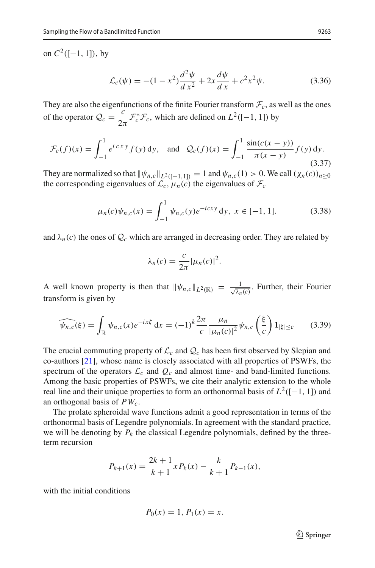on  $C^2([-1, 1])$ , by

$$
\mathcal{L}_c(\psi) = -(1 - x^2) \frac{d^2 \psi}{dx^2} + 2x \frac{d\psi}{dx} + c^2 x^2 \psi.
$$
 (3.36)

They are also the eigenfunctions of the finite Fourier transform  $\mathcal{F}_c$ , as well as the ones of the operator  $Q_c = \frac{c}{2\pi} \mathcal{F}_c^* \mathcal{F}_c$ , which are defined on  $L^2([-1, 1])$  by

$$
\mathcal{F}_c(f)(x) = \int_{-1}^1 e^{i c x y} f(y) dy, \text{ and } \mathcal{Q}_c(f)(x) = \int_{-1}^1 \frac{\sin(c(x - y))}{\pi(x - y)} f(y) dy.
$$
\n(3.37)

They are normalized so that  $\|\psi_{n,c}\|_{L^2([-1,1])} = 1$  and  $\psi_{n,c}(1) > 0$ . We call  $(\chi_n(c))_{n \ge 0}$ the corresponding eigenvalues of  $\mathcal{L}_c$ ,  $\mu_n(c)$  the eigenvalues of  $\mathcal{F}_c$ 

<span id="page-22-1"></span>
$$
\mu_n(c)\psi_{n,c}(x) = \int_{-1}^1 \psi_{n,c}(y)e^{-icxy} dy, \ x \in [-1, 1]. \tag{3.38}
$$

and  $\lambda_n(c)$  the ones of  $\mathcal{Q}_c$  which are arranged in decreasing order. They are related by

$$
\lambda_n(c) = \frac{c}{2\pi} |\mu_n(c)|^2.
$$

A well known property is then that  $\|\psi_{n,c}\|_{L^2(\mathbb{R})} = \frac{1}{\sqrt{\lambda_n}}$ property is then that  $\|\psi_{n,c}\|_{L^2(\mathbb{R})} = \frac{1}{\sqrt{\lambda_n(c)}}$ . Further, their Fourier transform is given by

<span id="page-22-0"></span>
$$
\widehat{\psi_{n,c}}(\xi) = \int_{\mathbb{R}} \psi_{n,c}(x) e^{-ix\xi} dx = (-1)^k \frac{2\pi}{c} \frac{\mu_n}{|\mu_n(c)|^2} \psi_{n,c}\left(\frac{\xi}{c}\right) \mathbf{1}_{|\xi| \le c} \tag{3.39}
$$

The crucial commuting property of  $\mathcal{L}_c$  and  $\mathcal{Q}_c$  has been first observed by Slepian and co-authors [\[21\]](#page-33-13), whose name is closely associated with all properties of PSWFs, the spectrum of the operators  $\mathcal{L}_c$  and  $\mathcal{Q}_c$  and almost time- and band-limited functions. Among the basic properties of PSWFs, we cite their analytic extension to the whole real line and their unique properties to form an orthonormal basis of  $L^2([-1, 1])$  and an orthogonal basis of *PWc*.

The prolate spheroidal wave functions admit a good representation in terms of the orthonormal basis of Legendre polynomials. In agreement with the standard practice, we will be denoting by  $P_k$  the classical Legendre polynomials, defined by the threeterm recursion

$$
P_{k+1}(x) = \frac{2k+1}{k+1} x P_k(x) - \frac{k}{k+1} P_{k-1}(x),
$$

with the initial conditions

$$
P_0(x) = 1, P_1(x) = x.
$$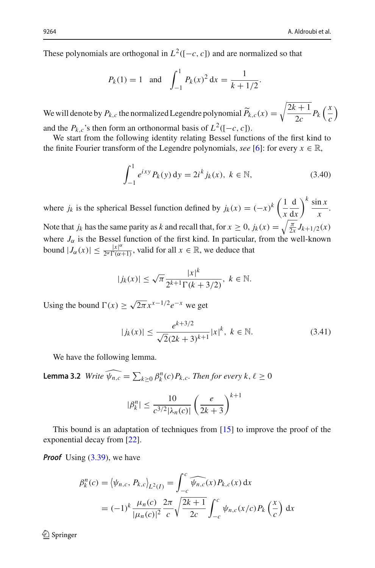These polynomials are orthogonal in  $L^2([-c, c])$  and are normalized so that

are orthogonal in 
$$
L^2([-c, c])
$$
 and are normal  
 $P_k(1) = 1$  and  $\int_{-1}^1 P_k(x)^2 dx = \frac{1}{k + 1/2}$ .

We will denote by  $P_{k,c}$  the normalized Legendre polynomial  $\widetilde{P}_{k,c}(x) = \sqrt{\frac{2k+1}{2c}} P_k \left(\frac{x}{c}\right)$ *c* and the  $P_k$ , *c*'s then form an orthonormal basis of  $L^2([-c, c])$ .

We start from the following identity relating Bessel functions of the first kind to the finite Fourier transform of the Legendre polynomials, *see* [\[6](#page-33-14)]: for every  $x \in \mathbb{R}$ ,

<span id="page-23-0"></span>
$$
\int_{-1}^{1} e^{ixy} P_k(y) \, dy = 2i^k j_k(x), \ k \in \mathbb{N}, \tag{3.40}
$$

where *j<sub>k</sub>* is the spherical Bessel function defined by  $j_k(x) = (-x)^k \left(\frac{1}{x}\right)^k$ *x* d d*x*  $\frac{k}{\sin x}$  $\frac{1}{x}$ . Note that *j<sub>k</sub>* has the same parity as *k* and recall that, for  $x \ge 0$ ,  $j_k(x) = \sqrt{\frac{\pi}{2x}} J_{k+1/2}(x)$ where  $J_{\alpha}$  is the Bessel function of the first kind. In particular, from the well-known bound  $|J_{\alpha}(x)| \leq \frac{|x|^{\alpha}}{2^{\alpha} \Gamma(\alpha+1)}$ , valid for all  $x \in \mathbb{R}$ , we deduce that

$$
|j_k(x)| \le \sqrt{\pi} \frac{|x|^k}{2^{k+1} \Gamma(k+3/2)}, \ k \in \mathbb{N}.
$$

Using the bound  $\Gamma(x) > \sqrt{2\pi} x^{x-1/2} e^{-x}$  we get

<span id="page-23-1"></span>
$$
|j_k(x)| \le \frac{e^{k+3/2}}{\sqrt{2}(2k+3)^{k+1}} |x|^k, \ k \in \mathbb{N}.
$$
 (3.41)

<span id="page-23-2"></span>We have the following lemma.

**Lemma 3.2** *Write*  $\widehat{\psi}_{n,c} = \sum_{k \geq 0} \beta_k^n(c) P_{k,c}$ . *Then for every k*,  $\ell \geq 0$ 

$$
|\beta_k^n| \le \frac{10}{c^{3/2} |\lambda_n(c)|} \left(\frac{e}{2k+3}\right)^{k+1}
$$

This bound is an adaptation of techniques from [\[15\]](#page-33-7) to improve the proof of the exponential decay from [\[22](#page-33-15)].

*Proof* Using [\(3.39\)](#page-22-0), we have

ng (3.39), we have  
\n
$$
\beta_k^n(c) = \langle \psi_{n,c}, P_{k,c} \rangle_{L^2(I)} = \int_{-c}^c \widehat{\psi_{n,c}}(x) P_{k,c}(x) dx
$$
\n
$$
= (-1)^k \frac{\mu_n(c)}{|\mu_n(c)|^2} \frac{2\pi}{c} \sqrt{\frac{2k+1}{2c}} \int_{-c}^c \psi_{n,c}(x/c) P_k\left(\frac{x}{c}\right) dx
$$

 $\mathcal{D}$  Springer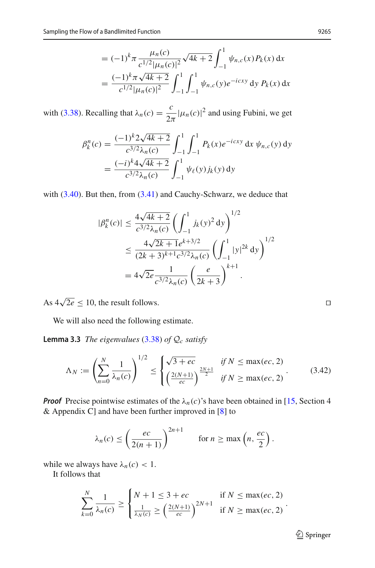$$
= (-1)^{k} \pi \frac{\mu_{n}(c)}{c^{1/2}|\mu_{n}(c)|^{2}} \sqrt{4k+2} \int_{-1}^{1} \psi_{n,c}(x) P_{k}(x) dx
$$
  
= 
$$
\frac{(-1)^{k} \pi \sqrt{4k+2}}{c^{1/2}|\mu_{n}(c)|^{2}} \int_{-1}^{1} \int_{-1}^{1} \psi_{n,c}(y) e^{-icxy} dy P_{k}(x) dx
$$

with [\(3.38\)](#page-22-1). Recalling that  $\lambda_n(c) = \frac{c}{2\pi} |\mu_n(c)|^2$  and using Fubini, we get

$$
\beta_k^n(c) = \frac{(-1)^k 2\sqrt{4k+2}}{c^{3/2}\lambda_n(c)} \int_{-1}^1 \int_{-1}^1 P_k(x) e^{-icxy} dx \psi_{n,c}(y) dy
$$
  
= 
$$
\frac{(-i)^k 4\sqrt{4k+2}}{c^{3/2}\lambda_n(c)} \int_{-1}^1 \psi_\ell(y) j_k(y) dy
$$

with  $(3.40)$ . But then, from  $(3.41)$  and Cauchy-Schwarz, we deduce that

$$
|\beta_{k}^{n}(c)| \leq \frac{4\sqrt{4k+2}}{c^{3/2}\lambda_{n}(c)} \left(\int_{-1}^{1} j_{k}(y)^{2} dy\right)^{1/2}
$$
  
 
$$
\leq \frac{4\sqrt{2k+1}e^{k+3/2}}{(2k+3)^{k+1}c^{3/2}\lambda_{n}(c)} \left(\int_{-1}^{1} |y|^{2k} dy\right)^{1/2}
$$
  
 
$$
= 4\sqrt{2e} \frac{1}{c^{3/2}\lambda_{n}(c)} \left(\frac{e}{2k+3}\right)^{k+1}.
$$

As  $4\sqrt{2e} \le 10$ , the result follows.

<span id="page-24-0"></span>We will also need the following estimate.

**Lemma 3.3** *The eigenvalues* [\(3.38\)](#page-22-1) *of Q<sup>c</sup> satisfy* 9J

**a 3.3** The eigenvalues (3.38) of 
$$
Q_c
$$
 satisfy  
\n
$$
\Lambda_N := \left(\sum_{n=0}^N \frac{1}{\lambda_n(c)}\right)^{1/2} \le \begin{cases} \sqrt{3+ec} & \text{if } N \le \max(ec, 2) \\ \left(\frac{2(N+1)}{ec}\right)^{\frac{2N+1}{2}} & \text{if } N \ge \max(ec, 2) \end{cases}
$$
\n(3.42)

*Proof* Precise pointwise estimates of the  $\lambda_n(c)$ 's have been obtained in [\[15](#page-33-7), Section 4] & Appendix C] and have been further improved in [\[8\]](#page-33-16) to

pointwise estimates of the 
$$
\lambda_n(c)
$$
's have been obtained  
 ] and have been further improved in [8] to  
 
$$
\lambda_n(c) \le \left(\frac{ec}{2(n+1)}\right)^{2n+1} \quad \text{for } n \ge \max\left(n, \frac{ec}{2}\right).
$$

while we always have  $\lambda_n(c) < 1$ .  $\overline{a}$  $\iota$ <sup> $\iota$ </sup>

It follows that

is that  
\n
$$
\sum_{k=0}^{N} \frac{1}{\lambda_n(c)} \ge \begin{cases} N+1 \le 3+ec & \text{if } N \le \max(ec, 2) \\ \frac{1}{\lambda_N(c)} \ge \left(\frac{2(N+1)}{ec}\right)^{2N+1} & \text{if } N \ge \max(ec, 2) \end{cases}
$$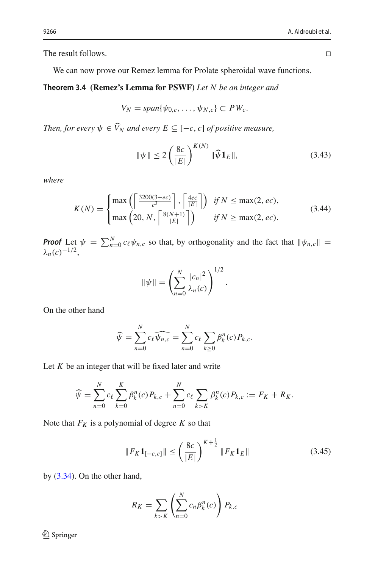The result follows.

We can now prove our Remez lemma for Prolate spheroidal wave functions.

## **Theorem 3.4 (Remez's Lemma for PSWF)** *Let N be an integer and*

$$
V_N = span{\psi_{0,c}, \ldots, \psi_{N,c}} \subset PW_c.
$$

*Then, for every*  $\psi \in \widehat{V}_N$  *and every*  $E \subseteq [-c, c]$  *of positive measure,* 

$$
\|\psi\| \le 2\left(\frac{8c}{|E|}\right)^{K(N)} \|\widehat{\psi}\mathbf{1}_E\|,\tag{3.43}
$$

.

<span id="page-25-0"></span>*where*

where  
\n
$$
K(N) = \begin{cases} \max\left(\left\lceil \frac{3200(3+ec)}{c^3} \right\rceil, \left\lceil \frac{4ec}{|E|} \right\rceil\right) & \text{if } N \le \max(2, ec),\\ \max\left(20, N, \left\lceil \frac{8(N+1)}{|E|} \right\rceil\right) & \text{if } N \ge \max(2, ec). \end{cases}
$$
\n**Proof** Let  $\psi = \sum_{n=0}^{N} c_{\ell} \psi_{n,c}$  so that, by orthogonality and the fact that  $\|\psi_{n,c}\| =$ 

λ*n*(*c*)−1/2,

*c* so that, by orthogonal  

$$
\|\psi\| = \left(\sum_{n=0}^{N} \frac{|c_n|^2}{\lambda_n(c)}\right)^{1/2}
$$

On the other hand

$$
\widehat{\psi} = \sum_{n=0}^{N} c_{\ell} \widehat{\psi_{n,c}} = \sum_{n=0}^{N} c_{\ell} \sum_{k \ge 0} \beta_{k}^{n}(c) P_{k,c}.
$$

Let *K* be an integer that will be fixed later and write  
\n
$$
\widehat{\psi} = \sum_{n=0}^{N} c_{\ell} \sum_{k=0}^{K} \beta_{k}^{n}(c) P_{k,c} + \sum_{n=0}^{N} c_{\ell} \sum_{k>K} \beta_{k}^{n}(c) P_{k,c} := F_{K} + R_{K}.
$$

Note that  $F_K$  is a polynomial of degree  $K$  so that

omial of degree *K* so that  
\n
$$
||F_K \mathbf{1}_{[-c,c]}|| \le \left(\frac{8c}{|E|}\right)^{K + \frac{1}{2}} ||F_K \mathbf{1}_E|| \qquad (3.45)
$$

by [\(3.34\)](#page-21-0). On the other hand,

nd,  
\n
$$
R_K = \sum_{k>K} \left( \sum_{n=0}^{N} c_n \beta_k^n(c) \right) P_{k,c}
$$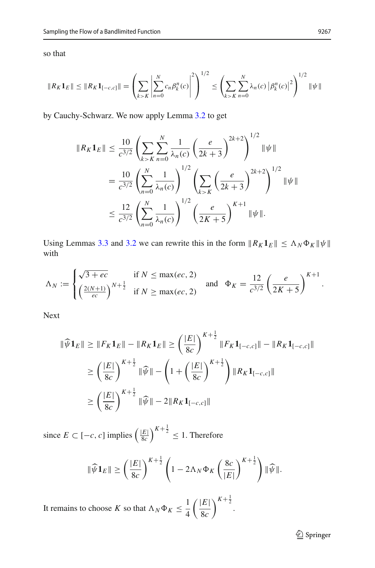so that

o that  
\n
$$
||R_K 1_E|| \le ||R_K 1_{[-c,c]}|| = \left(\sum_{k>K} \left|\sum_{n=0}^N c_n \beta_k^n(c)\right|^2\right)^{1/2} \le \left(\sum_{k>K} \sum_{n=0}^N \lambda_n(c) |\beta_k^n(c)|^2\right)^{1/2} ||\psi||
$$

by Cauchy-Schwarz. We now apply Lemma [3.2](#page-23-2) to get

$$
||R_K \mathbf{1}_E|| \leq \frac{10}{c^{3/2}} \left( \sum_{k>K} \sum_{n=0}^N \frac{1}{\lambda_n(c)} \left( \frac{e}{2k+3} \right)^{2k+2} \right)^{1/2} ||\psi||
$$
  
= 
$$
\frac{10}{c^{3/2}} \left( \sum_{n=0}^N \frac{1}{\lambda_n(c)} \right)^{1/2} \left( \sum_{k>K} \left( \frac{e}{2k+3} \right)^{2k+2} \right)^{1/2} ||\psi||
$$
  

$$
\leq \frac{12}{c^{3/2}} \left( \sum_{n=0}^N \frac{1}{\lambda_n(c)} \right)^{1/2} \left( \frac{e}{2K+5} \right)^{K+1} ||\psi||.
$$

Using Lemmas [3.3](#page-24-0) and [3.2](#page-23-2) we can rewrite this in the form  $||R_K 1_E|| \leq \Lambda_N \Phi_K ||\psi||$ with emmas 3.3 and 3.2 we can rewrite this in the form  $||R_K \mathbf{1}_E|| \leq \Lambda_N$ 

with  
\n
$$
\Lambda_N := \begin{cases}\n\sqrt{3+ec} & \text{if } N \le \max(ec, 2) \\
\left(\frac{2(N+1)}{ec}\right)^{N+\frac{1}{2}} & \text{if } N \ge \max(ec, 2)\n\end{cases}\n\text{ and }\n\Phi_K = \frac{12}{c^{3/2}} \left(\frac{e}{2K+5}\right)^{K+1}.
$$

Next

Next  
\n
$$
\|\widehat{\psi}\mathbf{1}_{E}\| \geq \|F_{K}\mathbf{1}_{E}\| - \|R_{K}\mathbf{1}_{E}\| \geq \left(\frac{|E|}{8c}\right)^{K + \frac{1}{2}} \|F_{K}\mathbf{1}_{[-c,c]}\| - \|R_{K}\mathbf{1}_{[-c,c]}\|
$$
\n
$$
\geq \left(\frac{|E|}{8c}\right)^{K + \frac{1}{2}} \|\widehat{\psi}\| - \left(1 + \left(\frac{|E|}{8c}\right)^{K + \frac{1}{2}}\right) \|R_{K}\mathbf{1}_{[-c,c]}\|
$$
\n
$$
\geq \left(\frac{|E|}{8c}\right)^{K + \frac{1}{2}} \|\widehat{\psi}\| - 2\|R_{K}\mathbf{1}_{[-c,c]}\|
$$
\nsince  $E \subset [-c, c]$  implies  $\left(\frac{|E|}{8c}\right)^{K + \frac{1}{2}} \leq 1$ . Therefore

*c*, *c*] implies  $\left(\frac{|E|}{8c}\right)^{K+\frac{1}{2}} \leq 1$ . Therefore

$$
-c, c] \text{ implies } \left(\frac{|E|}{8c}\right)^{K+\frac{1}{2}} \le 1. \text{ Therefore}
$$

$$
\|\widehat{\psi}\mathbf{1}_E\| \ge \left(\frac{|E|}{8c}\right)^{K+\frac{1}{2}} \left(1 - 2\Lambda_N \Phi_K\left(\frac{8c}{|E|}\right)^{K+\frac{1}{2}}\right) \|\widehat{\psi}\|.
$$

It remains to choose *K* so that  $\Lambda_N \Phi_K \leq \frac{1}{4}$ 4 |*E*| 8*c*  $\frac{K+\frac{1}{2}}{K+\frac{1}{2}}$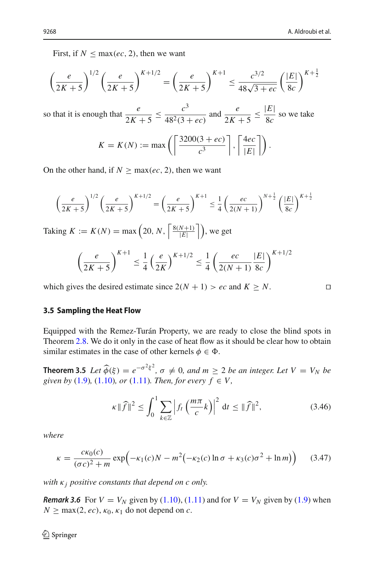First, if  $N \leq \max(e, 2)$ , then we want

First, if 
$$
N \le \max(ec, 2)
$$
, then we want\n
$$
\left(\frac{e}{2K+5}\right)^{1/2} \left(\frac{e}{2K+5}\right)^{K+1/2} = \left(\frac{e}{2K+5}\right)^{K+1} \le \frac{e^{3/2}}{48\sqrt{3+ec}} \left(\frac{|E|}{8c}\right)^{K+\frac{1}{2}}
$$

so that it is enough that  $\frac{e}{2K+5} \le \frac{c^3}{48^2(3+ec)}$ and  $\frac{e}{2K+5} \le \frac{|E|}{8c}$  so we take gh that  $\frac{e}{2K+5} \le \frac{c^3}{48^2(3+ec)}$  and  $\frac{e}{2K+5} \le \frac{1}{8}$ <br>  $K = K(N) := \max\left(\left\lceil \frac{3200(3+ec)}{c^3} \right\rceil, \left\lceil \frac{4ec}{|F|} \right\rceil \right)$ 

$$
K = K(N) := \max\left(\left\lceil \frac{3200(3 + ec)}{c^3} \right\rceil, \left\lceil \frac{4ec}{|E|} \right\rceil \right).
$$

On the other hand, if 
$$
N \ge \max(ec, 2)
$$
, then we want  
\n
$$
\left(\frac{e}{2K+5}\right)^{1/2} \left(\frac{e}{2K+5}\right)^{K+1/2} = \left(\frac{e}{2K+5}\right)^{K+1} \le \frac{1}{4} \left(\frac{ec}{2(N+1)}\right)^{N+\frac{1}{2}} \left(\frac{|E|}{8c}\right)^{K+\frac{1}{2}}
$$
\nTaking  $K := K(N) = \max\left(20, N, \left\lceil \frac{8(N+1)}{|E|} \right\rceil \right)$ , we get

 $\frac{N+1j}{|E|}$   $\Big|$ , we get  $K(\lambda)$   $\longrightarrow$   $\left(20 \lambda \right)$   $\left[8(N+1)\right]$   $\longrightarrow$ 

$$
\left(\frac{e}{2K+5}\right)^{K+1} \le \frac{1}{4} \left(\frac{e}{2K}\right)^{K+1/2} \le \frac{1}{4} \left(\frac{ec}{2(N+1)}\frac{|E|}{8c}\right)^{K+1/2}
$$

which gives the desired estimate since  $2(N + 1) > ec$  and  $K \geq N$ .

### **3.5 Sampling the Heat Flow**

Equipped with the Remez-Turán Property, we are ready to close the blind spots in Theorem [2.8.](#page-17-0) We do it only in the case of heat flow as it should be clear how to obtain similar estimates in the case of other kernels  $\phi \in \Phi$ . **Theorem 2.8.** We do it only in the case of heat flow as it should be clear how to obtain similar estimates in the case of other kernels  $\phi \in \Phi$ .<br> **Theorem 3.5** *Let*  $\hat{\phi}(\xi) = e^{-\sigma^2 \xi^2}$ ,  $\sigma \neq 0$ , and  $m \geq 2$  *be a* 

<span id="page-27-0"></span>

given by (1.9), (1.10), or (1.11). Then, for every 
$$
f \in V
$$
,  

$$
\kappa \|\widehat{f}\|^2 \le \int_0^1 \sum_{k \in \mathbb{Z}} \left| f_t \left( \frac{m\pi}{c} k \right) \right|^2 dt \le \|\widehat{f}\|^2,
$$
(3.46)

*where*

$$
\kappa =
$$
\n
$$
\kappa = \frac{c\kappa_0(c)}{(\sigma c)^2 + m} \exp\left(-\kappa_1(c)N - m^2(-\kappa_2(c)\ln\sigma + \kappa_3(c)\sigma^2 + \ln m)\right) \tag{3.47}
$$

*with*  $\kappa$ *<sub>i</sub> positive constants that depend on c only.* 

*Remark 3.6* For  $V = V_N$  given by [\(1.10\)](#page-5-0), [\(1.11\)](#page-5-1) and for  $V = V_N$  given by [\(1.9\)](#page-4-1) when  $N \geq \max(2, ec), \kappa_0, \kappa_1$  do not depend on *c*.

<span id="page-27-1"></span>
$$
\Box
$$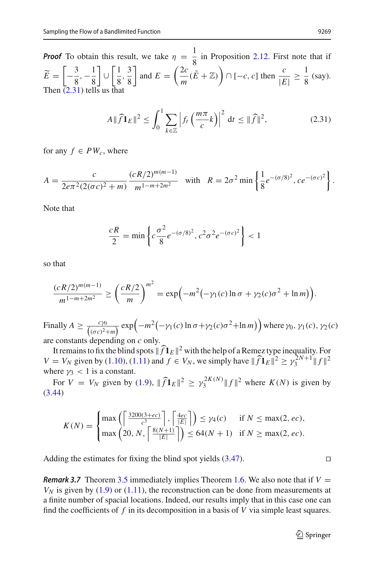*Proof* To obtain this result, we take  $\eta = \frac{1}{8}$  in Proposition [2.12.](#page-20-3) First note that if  $E =$  $\left[-\frac{3}{8}, -\frac{1}{8}\right]$ ∪  $\lceil 1 \rceil$  $\frac{1}{8}$ ,  $\frac{3}{8}$ 8 and  $E = \left(\frac{2c}{m}(\tilde{E} + \mathbb{Z})\right) \cap [-c, c]$  then  $\frac{c}{|E|} \ge$  $E = \left(\frac{2c}{m}(\tilde{E} + \mathbb{Z})\right) \cap [-c, c]$  then  $\frac{c}{|E|} \ge \frac{1}{8}$  (say). Then [\(2.31\)](#page-20-2) tells us that<br> $A \parallel \widehat{f}$ :  $\overline{a}$ 

L

s that  
\n
$$
A \|\widehat{f}\mathbf{1}_E\|^2 \le \int_0^1 \sum_{k \in \mathbb{Z}} \left| f_t\left(\frac{m\pi}{c}k\right) \right|^2 dt \le \|\widehat{f}\|^2, \tag{2.31}
$$

L

for any  $f \in PW_c$ , where

for any 
$$
f \in PW_c
$$
, where  
\n
$$
A = \frac{c}{2e\pi^2 (2(\sigma c)^2 + m)} \frac{(cR/2)^{m(m-1)}}{m^{1-m+2m^2}} \text{ with } R = 2\sigma^2 \min\left\{\frac{1}{8}e^{-(\sigma/8)^2}, ce^{-(\sigma c)^2}\right\}.
$$

Note that

$$
\frac{cR}{2} = \min \left\{ c \frac{\sigma^2}{8} e^{-(\sigma/8)^2}, c^2 \sigma^2 e^{-(\sigma c)^2} \right\} < 1
$$

so that

that  
\n
$$
\frac{(cR/2)^{m(m-1)}}{m^{1-m+2m^2}} \ge \left(\frac{cR/2}{m}\right)^{m^2} = \exp(-m^2(-\gamma_1(c)\ln\sigma + \gamma_2(c)\sigma^2 + \ln m)).
$$

 $\frac{m^{1-m+2m^2}}{m^{1-m+2m^2}} \le$ <br>Finally  $A \ge \frac{c\gamma_0}{(\sigma c)^2 + m^2}$  $\frac{(cR/2)^{m(m-1)}}{m^{1-m+2m^2}} \ge \left(\frac{cR/2}{m}\right)^m = \exp\left(-m^2\left(-\gamma_1(c)\ln\sigma + \gamma_2(c)\sigma^2 + \ln m\right)\right).$ <br>
hally  $A \ge \frac{c\gamma_0}{(\sigma c)^2 + m} \exp\left(-m^2\left(-\gamma_1(c)\ln\sigma + \gamma_2(c)\sigma^2 + \ln m\right)\right)$  where  $\gamma_0, \gamma_1(c), \gamma_2(c)$ <br>  $\gamma_1(c)$  constants depending on  $c$  only are constants depending on *c* only.

It remains to fix the blind spots  $\|\widehat{f}\mathbf{1}_E\|^2$  with the help of a Remez type inequality. For are constants depending on *c* only.<br> *V* = *V<sub>N</sub>* given by [\(1.10\)](#page-5-0), [\(1.11\)](#page-5-1) and *f* ∈ *V<sub>N</sub>*, we simply have  $||\hat{f}1_E||^2 \ge \gamma_3^{2N+1}||f||^2$ <br>
where  $\gamma_3$  < 1 is a constant.<br>
For *V* = *V<sub>N</sub>* given by [\(1.9\)](#page-4-1),  $||\hat{f}1_E||^2 \ge \$ where  $\nu_3$  < 1 is a constant.

*N* given by (1.9),  $\|\widehat{f}\mathbf{1}_E\|^2 \geq \gamma_3^{2K(N)} \|f\|^2$  where  $K(N)$  is given by [\(3.44\)](#page-25-0) ⎨given by (1.9),  $\|\hat{f}\mathbf{1}_E\|^2 \ge$ <br>
max  $\left(\left\lceil \frac{3200(3+ec)}{3}\right\rceil, \left\lceil \frac{4ec}{|E|} \right\rceil \right)$ 

$$
K(N) = \begin{cases} \max\left(\left\lceil \frac{3200(3+ec)}{c^3} \right\rceil, \left\lceil \frac{4ec}{|E|} \right\rceil \right) \leq \gamma_4(c) & \text{if } N \leq \max(2, ec),\\ \max\left(20, N, \left\lceil \frac{8(N+1)}{|E|} \right\rceil \right) \leq 64(N+1) & \text{if } N \geq \max(2, ec). \end{cases}
$$

Adding the estimates for fixing the blind spot yields [\(3.47\)](#page-27-1).

*Remark 3.7* Theorem [3.5](#page-27-0) immediately implies Theorem [1.6.](#page-5-2) We also note that if  $V =$  $V_N$  is given by [\(1.9\)](#page-4-1) or [\(1.11\)](#page-5-1), the reconstruction can be done from measurements at a finite number of spacial locations. Indeed, our results imply that in this case one can find the coefficients of  $f$  in its decomposition in a basis of  $V$  via simple least squares.

$$
\Box
$$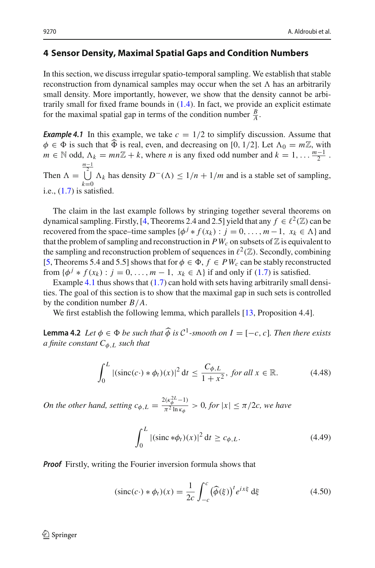### <span id="page-29-1"></span>**4 Sensor Density, Maximal Spatial Gaps and Condition Numbers**

In this section, we discuss irregular spatio-temporal sampling. We establish that stable reconstruction from dynamical samples may occur when the set  $\Lambda$  has an arbitrarily small density. More importantly, however, we show that the density cannot be arbitrarily small for fixed frame bounds in [\(1.4\)](#page-2-1). In fact, we provide an explicit estimate for the maximal spatial gap in terms of the condition number  $\frac{B}{A}$ .

<span id="page-29-0"></span>**Example 4.1** In this example, we take  $c = 1/2$  to simplify discussion. Assume that for the maximal spatia<br>**Example 4.1** In this ex<br> $\phi \in \Phi$  is such that  $\widehat{\Phi}$ ich that  $\widehat{\Phi}$  is real, even, and decreasing on [0, 1/2]. Let  $\Lambda_0 = m\mathbb{Z}$ , with  $m \in \mathbb{N}$  odd,  $\Lambda_k = mn\mathbb{Z} + k$ , where *n* is any fixed odd number and  $k = 1, \ldots \frac{m-1}{2}$ . Then  $\Lambda =$  $\frac{m-1}{2}$ *k*=0  $Λ_k$  has density  $D^-$ ( $Λ$ ) ≤  $1/n + 1/m$  and is a stable set of sampling, i.e., [\(1.7\)](#page-3-1) is satisfied.

The claim in the last example follows by stringing together several theorems on dynamical sampling. Firstly, [\[4](#page-33-10), Theorems 2.4 and 2.5] yield that any  $f \in \ell^2(\mathbb{Z})$  can be recovered from the space–time samples  $\{\phi^j * f(x_k) : j = 0, ..., m-1, x_k \in \Lambda\}$  and that the problem of sampling and reconstruction in  $PW_c$  on subsets of  $\mathbb Z$  is equivalent to the sampling and reconstruction problem of sequences in  $\ell^2(\mathbb{Z})$ . Secondly, combining [\[5](#page-33-0), Theorems 5.4 and 5.5] shows that for  $\phi \in \Phi$ ,  $f \in PW_c$  can be stably reconstructed from  $\{\phi^j * f(x_k) : j = 0, \ldots, m-1, x_k \in \Lambda\}$  if and only if [\(1.7\)](#page-3-1) is satisfied.

Example [4.1](#page-29-0) thus shows that [\(1.7\)](#page-3-1) can hold with sets having arbitrarily small densities. The goal of this section is to show that the maximal gap in such sets is controlled by the condition number *B*/*A*.

<span id="page-29-4"></span>We first establish the following lemma, which parallels [\[13](#page-33-17), Proposition 4.4].

**Lemma 4.2** *Let*  $\phi \in \Phi$  *be such that*  $\widehat{\phi}$  *is*  $\mathcal{C}^1$ *-smooth on*  $I = [-c, c]$ *. Then there exists a finite constant C*φ,*<sup>L</sup> such that*

<span id="page-29-3"></span>
$$
\int_0^L |(\text{sinc}(c \cdot) * \phi_t)(x)|^2 dt \le \frac{C_{\phi, L}}{1 + x^2}, \text{ for all } x \in \mathbb{R}.
$$
 (4.48)

*On the other hand, setting*  $c_{\phi,L} = \frac{2(\kappa_{\phi}^{2L}-1)}{\pi^2 \ln \kappa_{\phi}}$  $c_{\phi,L} = \frac{2(\kappa_{\phi}^{2L} - 1)}{\pi^2 \ln \kappa_{\phi}} > 0$ , for  $|x| \le \pi/2c$ , we have

<span id="page-29-5"></span><span id="page-29-2"></span>
$$
\int_0^L |(\text{sinc} * \phi_t)(x)|^2 dt \ge c_{\phi, L}.
$$
 (4.49)

**Proof** Firstly, writing the Fourier inversion formula shows that  
\n
$$
(\text{sinc}(c \cdot) * \phi_t)(x) = \frac{1}{2c} \int_{-c}^{c} (\widehat{\phi}(\xi))^t e^{ix\xi} d\xi
$$
\n(4.50)

 $\textcircled{2}$  Springer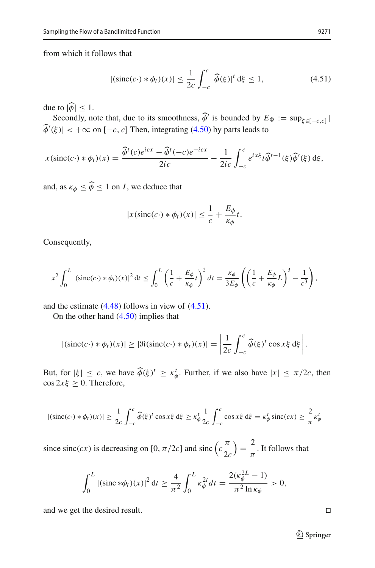from which it follows that

<span id="page-30-0"></span>
$$
\text{Ws that}
$$
\n
$$
|\text{(sinc}(c \cdot) * \phi_t)(x)| \le \frac{1}{2c} \int_{-c}^{c} |\widehat{\phi}(\xi)|^t \, \mathrm{d}\xi \le 1,\tag{4.51}
$$

Ī

due to  $|\phi| \leq 1$ . -

Secondly, note that, due to its smoothness,  $\phi'$  is bounded by  $E_{\Phi} := \sup_{\xi \in [-c,c]} |$  $\mathbf{o}$ 

Secondly, note that, due to its smoothness, 
$$
\phi'
$$
 is bounded by  $E_{\Phi} := \sup_{\xi \in [-c, c]}$   

$$
\hat{\phi}'(\xi)| < +\infty \text{ on } [-c, c] \text{ Then, integrating (4.50) by parts leads to}
$$

$$
x(\text{sinc}(c \cdot) * \phi_t)(x) = \frac{\hat{\phi}^t(c)e^{icx} - \hat{\phi}^t(-c)e^{-icx}}{2ic} - \frac{1}{2ic} \int_{-c}^c e^{ix\xi} t \hat{\phi}^{t-1}(\xi) \hat{\phi}'(\xi) d\xi,
$$

and, as  $\kappa_{\phi} \leq \phi \leq 1$  on *I*, we deduce that

$$
|x(\operatorname{sinc}(c \cdot) * \phi_t)(x)| \leq \frac{1}{c} + \frac{E_{\phi}}{\kappa_{\phi}}t.
$$

Consequently, 

$$
x^2 \int_0^L |(\operatorname{sinc}(c \cdot) * \phi_t)(x)|^2 dt \le \int_0^L \left(\frac{1}{c} + \frac{E_{\phi}}{\kappa_{\phi}} t\right)^2 dt = \frac{\kappa_{\phi}}{3E_{\phi}} \left(\left(\frac{1}{c} + \frac{E_{\phi}}{\kappa_{\phi}} L\right)^3 - \frac{1}{c^3}\right),
$$

and the estimate  $(4.48)$  follows in view of  $(4.51)$ .

On the other hand [\(4.50\)](#page-29-2) implies that

On the other hand (4.50) implies that  
\n
$$
|(\operatorname{sinc}(c \cdot) * \phi_t)(x)| \ge |\Re(\operatorname{sinc}(c \cdot) * \phi_t)(x)| = \left| \frac{1}{2c} \int_{-c}^{c} \widehat{\phi}(\xi)^t \cos x \xi \, d\xi \right|.
$$
\nBut, for  $|\xi| \le c$ , we have  $\widehat{\phi}(\xi)^t \ge \kappa_{\phi}^t$ . Further, if we also have  $|x| \le \pi/2c$ , then

 $\cos 2x\xi \geq 0$ . Therefore,

$$
|(\operatorname{sinc}(c \cdot) * \phi_t)(x)| \ge \frac{1}{2c} \int_{-c}^{c} \widehat{\phi}(\xi)^t \cos x \xi \, d\xi \ge \kappa_{\phi}^t \frac{1}{2c} \int_{-c}^{c} \cos x \xi \, d\xi = \kappa_{\phi}^t \operatorname{sinc}(cx) \ge \frac{2}{\pi} \kappa_{\phi}^t
$$
  
since  $\operatorname{sinc}(cx)$  is decreasing on  $[0, \pi/2c]$  and  $\operatorname{sinc}(c\frac{\pi}{2c}) = \frac{2}{\pi}$ . It follows that

 $f(x)$  is decreasing on [0,  $\pi/2c$ ] and sinc  $\left(c\frac{\pi}{2c}\right) = \frac{2}{\pi}$ . It follows that

$$
\int_0^L |(\text{sinc} * \phi_t)(x)|^2 dt \ge \frac{4}{\pi^2} \int_0^L \kappa_{\phi}^{2t} dt = \frac{2(\kappa_{\phi}^{2L} - 1)}{\pi^2 \ln \kappa_{\phi}} > 0,
$$

and we get the desired result.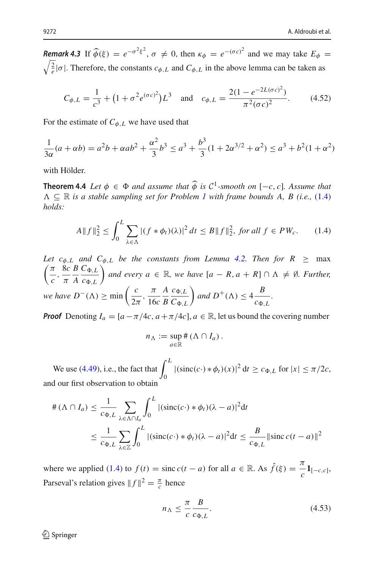*Remark 4.3* If  $\widehat{\phi}(\xi) = e^{-\sigma^2 \xi^2}$ ,  $\sigma \neq 0$ , then  $\kappa_{\phi} = e^{-(\sigma c)^2}$  and we may take  $E_{\phi} =$ 

<span id="page-31-1"></span>
$$
\frac{2}{e}|\sigma|.
$$
 Therefore, the constants  $c_{\phi, L}$  and  $C_{\phi, L}$  in the above lemma can be taken as  

$$
C_{\phi, L} = \frac{1}{c^3} + \left(1 + \sigma^2 e^{(\sigma c)^2}\right) L^3 \quad \text{and} \quad c_{\phi, L} = \frac{2(1 - e^{-2L(\sigma c)^2})}{\pi^2 (\sigma c)^2}.
$$
 (4.52)

For the estimate of  $C_{\phi, L}$  we have used that

$$
\frac{1}{3\alpha}(a+\alpha b) = a^2b + \alpha ab^2 + \frac{\alpha^2}{3}b^3 \le a^3 + \frac{b^3}{3}(1+2\alpha^{3/2} + \alpha^2) \le a^3 + b^2(1+\alpha^2)
$$

<span id="page-31-0"></span>with Hölder.

**Theorem 4.4** *Let*  $\phi \in \Phi$  *and assume that*  $\widehat{\phi}$  *is*  $\mathcal{C}^1$ *-smooth on* [−*c*, *c*]*. Assume that*  $\Lambda \subseteq \mathbb{R}$  *is a stable sampling set for Problem [1](#page-1-0) with frame bounds A, B (i.e., [\(1.4\)](#page-2-1) holds:*

$$
A\|f\|_2^2 \le \int_0^L \sum_{\lambda \in \Lambda} |(f * \phi_t)(\lambda)|^2 \, dt \le B\|f\|_2^2, \text{ for all } f \in PW_c. \tag{1.4}
$$

*Let*  $c_{\phi,L}$  *and*  $C_{\phi,L}$  *be the constants from Lemma [4.2.](#page-29-4) Then for*  $R \geq \max$ π  $\frac{\pi}{c}$ ,  $\frac{8c}{\pi}$ π *B A*  $C_{\Phi,L}$  $c_{\Phi,L}$  $\left\{ \alpha \in \mathbb{R}, \text{ we have } [a - R, a + R] \cap \Lambda \neq \emptyset$ . Further, *we have*  $D^{-}(\Lambda) \ge \min\left(\frac{c}{2\pi}, \frac{\pi}{16c}\right)$  $\binom{C_{\phi,L}}{L}$  be the  $\binom{L}{L}$  and ever<br>  $\phi$   $\geq$  min  $\left(\frac{C_{\phi,L}}{2\pi}\right)$ *A B*  $c_{\Phi,L}$  $C_{\Phi,L}$  $\left( \text{and } D^+(\Lambda) \leq 4 \frac{B}{C\Phi} \right)$  $\frac{1}{c_{\Phi,L}}$ .

*Proof* Denoting  $I_a = [a - \pi/4c, a + \pi/4c]$ ,  $a \in \mathbb{R}$ , let us bound the covering number

$$
n_{\Lambda} := \sup_{a \in \mathbb{R}} \# (\Lambda \cap I_a).
$$

 $n_{\Lambda} := \sum_{\Lambda}$ <br>We use [\(4.49\)](#page-29-5), i.e., the fact that  $\int_{\Lambda}$  $\int_0^{\pi} |(\text{sinc}(c \cdot) * \phi_t)(x)|^2 dt \ge c_{\Phi, L} \text{ for } |x| \le \pi/2c,$ and our first observation to obtain

$$
\#(\Lambda \cap I_a) \leq \frac{1}{c_{\Phi,L}} \sum_{\lambda \in \Lambda \cap I_a} \int_0^L |(\text{sinc}(c \cdot) * \phi_t)(\lambda - a)|^2 dt
$$
  

$$
\leq \frac{1}{c_{\Phi,L}} \sum_{\lambda \in \mathbb{Z}} \int_0^L |(\text{sinc}(c \cdot) * \phi_t)(\lambda - a)|^2 dt \leq \frac{B}{c_{\Phi,L}} \|\text{sinc}(t - a)\|^2
$$

where we applied [\(1.4\)](#page-2-1) to  $f(t) = \text{sinc } c(t - a)$  for all  $a \in \mathbb{R}$ . As  $\hat{f}(\xi) = \frac{\pi}{c} \mathbf{1}_{[-c,c]}$ , Parseval's relation gives  $||f||^2 = \frac{\pi}{c}$  hence

$$
n_{\Lambda} \le \frac{\pi}{c} \frac{B}{c_{\Phi, L}}.\tag{4.53}
$$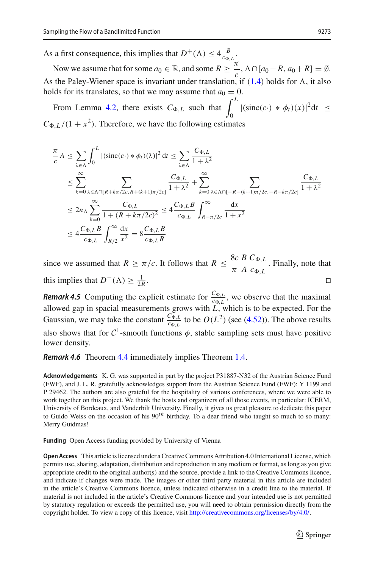As a first consequence, this implies that  $D^+(\Lambda) \leq 4 \frac{B}{c_{\Phi,L}}$ .

Now we assume that for some  $a_0 \in \mathbb{R}$ , and some  $R \geq \frac{\pi}{C}$  $\overline{C}$ , Λ ∩ [*a*<sub>0</sub> − *R*, *a*<sub>0</sub> + *R*] = Ø. As the Paley-Wiener space is invariant under translation, if  $(1.4)$  holds for  $\Lambda$ , it also holds for its translates, so that we may assume that  $a_0 = 0$ . Now we assume that for some  $a_0 \in \mathbb{R}$ , and some  $R \ge -$ ,  $\Lambda \cap [a_0 - R, a_0 + R] = \emptyset$ .<br>the Paley-Wiener space is invariant under translation, if (1.4) holds for  $\Lambda$ , it also<br>dds for its translates, so that we may assume th

$$
C_{\Phi,L}/(1+x^2)
$$
. Therefore, we have the following estimates  
\n
$$
\frac{\pi}{c}A \le \sum_{\lambda \in \Lambda} \int_0^L |(\text{sinc}(c \cdot) * \phi_t)(\lambda)|^2 dt \le \sum_{\lambda \in \Lambda} \frac{C_{\Phi,L}}{1+\lambda^2}
$$
\n
$$
\le \sum_{k=0}^{\infty} \sum_{\lambda \in \Lambda \cap [R+k\pi/2c, R+(k+1)\pi/2c]} \frac{C_{\Phi,L}}{1+\lambda^2} + \sum_{k=0}^{\infty} \sum_{\lambda \in \Lambda \cap [-R-(k+1)\pi/2c, -R-k\pi/2c]} \frac{C_{\Phi,L}}{1+\lambda^2}
$$
\n
$$
\le 2n_{\Lambda} \sum_{k=0}^{\infty} \frac{C_{\Phi,L}}{1+(R+k\pi/2c)^2} \le 4 \frac{C_{\Phi,L}B}{c_{\Phi,L}} \int_{R-\pi/2c}^{\infty} \frac{dx}{1+x^2}
$$
\n
$$
\le 4 \frac{C_{\Phi,L}B}{c_{\Phi,L}} \int_{R/2}^{\infty} \frac{dx}{x^2} = 8 \frac{C_{\Phi,L}B}{c_{\Phi,L}R}
$$

since we assumed that  $R \ge \pi/c$ . It follows that  $R \le \frac{8c}{\pi}$ π *B A*  $C_{\Phi,L}$  $\frac{C_{\Phi,L}}{C_{\Phi,L}}$ . Finally, note that this implies that  $D^{-}(\Lambda) \geq \frac{1}{2l}$  $\frac{1}{2R}$ .

*Remark 4.5* Computing the explicit estimate for  $\frac{C_{\Phi,L}}{C_{\Phi,L}}$ , we observe that the maximal allowed gap in spacial measurements grows with  $\overrightarrow{L}$ , which is to be expected. For the Gaussian, we may take the constant  $\frac{C_{\Phi,L}}{C_{\Phi,L}}$  to be  $O(L^2)$  (see [\(4.52\)](#page-31-1)). The above results also shows that for  $C^1$ -smooth functions  $\phi$ , stable sampling sets must have positive lower density.

*Remark 4.6* Theorem [4.4](#page-31-0) immediately implies Theorem [1.4.](#page-3-2)

**Acknowledgements** K. G. was supported in part by the project P31887-N32 of the Austrian Science Fund (FWF), and J. L. R. gratefully acknowledges support from the Austrian Science Fund (FWF): Y 1199 and P 29462. The authors are also grateful for the hospitality of various conferences, where we were able to work together on this project. We thank the hosts and organizers of all those events, in particular: ICERM, University of Bordeaux, and Vanderbilt University. Finally, it gives us great pleasure to dedicate this paper to Guido Weiss on the occasion of his 90*th* birthday. To a dear friend who taught so much to so many: Merry Guidmas!

**Funding** Open Access funding provided by University of Vienna

**Open Access** This article is licensed under a Creative Commons Attribution 4.0 International License, which permits use, sharing, adaptation, distribution and reproduction in any medium or format, as long as you give appropriate credit to the original author(s) and the source, provide a link to the Creative Commons licence, and indicate if changes were made. The images or other third party material in this article are included in the article's Creative Commons licence, unless indicated otherwise in a credit line to the material. If material is not included in the article's Creative Commons licence and your intended use is not permitted by statutory regulation or exceeds the permitted use, you will need to obtain permission directly from the copyright holder. To view a copy of this licence, visit [http://creativecommons.org/licenses/by/4.0/.](http://creativecommons.org/licenses/by/4.0/)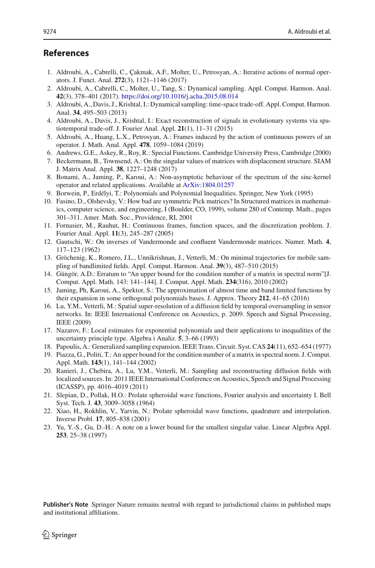## **References**

- <span id="page-33-3"></span>1. Aldroubi, A., Cabrelli, C., Çakmak, A.F., Molter, U., Petrosyan, A.: Iterative actions of normal operators. J. Funct. Anal. **272**(3), 1121–1146 (2017)
- 2. Aldroubi, A., Cabrelli, C., Molter, U., Tang, S.: Dynamical sampling. Appl. Comput. Harmon. Anal. **42**(3), 378–401 (2017). <https://doi.org/10.1016/j.acha.2015.08.014>
- 3. Aldroubi, A., Davis, J., Krishtal, I.: Dynamical sampling: time-space trade-off. Appl. Comput. Harmon. Anal. **34**, 495–503 (2013)
- <span id="page-33-10"></span>4. Aldroubi, A., Davis, J., Krishtal, I.: Exact reconstruction of signals in evolutionary systems via spatiotemporal trade-off. J. Fourier Anal. Appl. **21**(1), 11–31 (2015)
- <span id="page-33-0"></span>5. Aldroubi, A., Huang, L.X., Petrosyan, A.: Frames induced by the action of continuous powers of an operator. J. Math. Anal. Appl. **478**, 1059–1084 (2019)
- <span id="page-33-14"></span>6. Andrews, G.E., Askey, R., Roy, R.: Special Functions. Cambridge University Press, Cambridge (2000)
- <span id="page-33-8"></span>7. Beckermann, B., Townsend, A.: On the singular values of matrices with displacement structure. SIAM J. Matrix Anal. Appl. **38**, 1227–1248 (2017)
- <span id="page-33-16"></span>8. Bonami, A., Jaming, P., Karoui, A.: Non-asymptotic behaviour of the spectrum of the sinc-kernel operator and related applications. Available at [ArXiv:1804.01257](http://arxiv.org/abs/1804.01257)
- <span id="page-33-12"></span>9. Borwein, P., Erdélyi, T.: Polynomials and Polynomial Inequalities. Springer, New York (1995)
- <span id="page-33-9"></span>10. Fasino, D., Olshevsky, V.: How bad are symmetric Pick matrices? In Structured matrices in mathematics, computer science, and engineering, I (Boulder, CO, 1999), volume 280 of Contemp. Math., pages 301–311. Amer. Math. Soc., Providence, RI, 2001
- <span id="page-33-1"></span>11. Fornasier, M., Rauhut, H.: Continuous frames, function spaces, and the discretization problem. J. Fourier Anal. Appl. **11**(3), 245–287 (2005)
- 12. Gautschi, W.: On inverses of Vandermonde and confluent Vandermonde matrices. Numer. Math. **4**, 117–123 (1962)
- <span id="page-33-17"></span>13. Gröchenig, K., Romero, J.L., Unnikrishnan, J., Vetterli, M.: On minimal trajectories for mobile sampling of bandlimited fields. Appl. Comput. Harmon. Anal. **39**(3), 487–510 (2015)
- 14. Güngör, A.D.: Erratum to "An upper bound for the condition number of a matrix in spectral norm"[J. Comput. Appl. Math. 143: 141–144]. J. Comput. Appl. Math. **234**(316), 2010 (2002)
- <span id="page-33-7"></span>15. Jaming, Ph, Karoui, A., Spektor, S.: The approximation of almost time and band limited functions by their expansion in some orthogonal polynomials bases. J. Approx. Theory **212**, 41–65 (2016)
- <span id="page-33-2"></span>16. Lu, Y.M., Vetterli, M.: Spatial super-resolution of a diffusion field by temporal oversampling in sensor networks. In: IEEE International Conference on Acoustics, p. 2009. Speech and Signal Processing, IEEE (2009)
- <span id="page-33-6"></span>17. Nazarov, F.: Local estimates for exponential polynomials and their applications to inequalities of the uncertainty principle type. Algebra i Analiz. **5**, 3–66 (1993)
- <span id="page-33-5"></span>18. Papoulis, A.: Generalized sampling expansion. IEEE Trans. Circuit. Syst. CAS **24**(11), 652–654 (1977)
- 19. Piazza, G., Politi, T.: An upper bound for the condition number of a matrix in spectral norm. J. Comput. Appl. Math. **143**(1), 141–144 (2002)
- <span id="page-33-4"></span>20. Ranieri, J., Chebira, A., Lu, Y.M., Vetterli, M.: Sampling and reconstructing diffusion fields with localized sources. In: 2011 IEEE International Conference on Acoustics, Speech and Signal Processing (ICASSP), pp. 4016–4019 (2011)
- <span id="page-33-13"></span>21. Slepian, D., Pollak, H.O.: Prolate spheroidal wave functions, Fourier analysis and uncertainty I. Bell Syst. Tech. J. **43**, 3009–3058 (1964)
- <span id="page-33-15"></span>22. Xiao, H., Rokhlin, V., Yarvin, N.: Prolate spheroidal wave functions, quadrature and interpolation. Inverse Probl. **17**, 805–838 (2001)
- <span id="page-33-11"></span>23. Yu, Y.-S., Gu, D.-H.: A note on a lower bound for the smallest singular value. Linear Algebra Appl. **253**, 25–38 (1997)

**Publisher's Note** Springer Nature remains neutral with regard to jurisdictional claims in published maps and institutional affiliations.